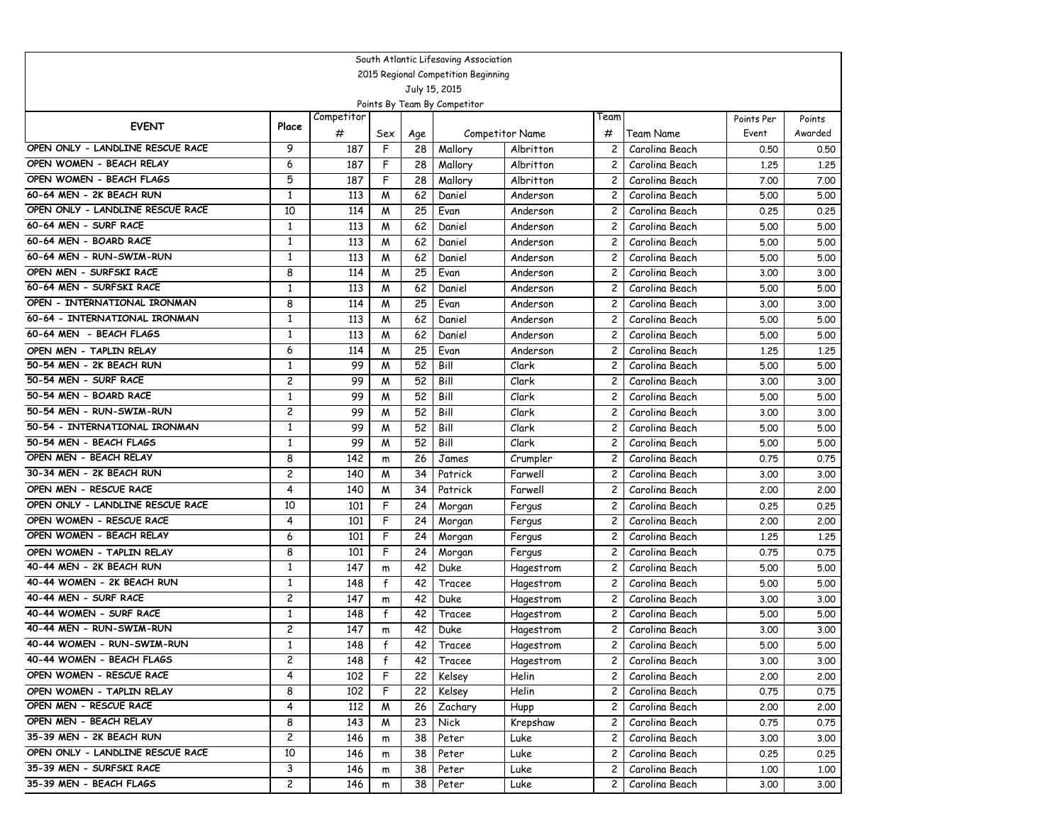| South Atlantic Lifesaving Association                     |                |            |              |                 |                              |                        |                |                    |            |         |  |
|-----------------------------------------------------------|----------------|------------|--------------|-----------------|------------------------------|------------------------|----------------|--------------------|------------|---------|--|
| 2015 Regional Competition Beginning<br>July 15, 2015      |                |            |              |                 |                              |                        |                |                    |            |         |  |
|                                                           |                |            |              |                 |                              |                        |                |                    |            |         |  |
|                                                           |                |            |              |                 | Points By Team By Competitor |                        |                |                    |            |         |  |
| <b>EVENT</b>                                              | Place          | Competitor |              |                 |                              |                        | Team           |                    | Points Per | Points  |  |
|                                                           |                | #          | Sex          | Age             |                              | <b>Competitor Name</b> | #              | Team Name          | Event      | Awarded |  |
| OPEN ONLY - LANDLINE RESCUE RACE                          | 9              | 187        | F            | 28              | Mallory                      | Albritton              | 2              | Carolina Beach     | 0.50       | 0.50    |  |
| OPEN WOMEN - BEACH RELAY                                  | 6              | 187        | F            | 28              | Mallory                      | Albritton              | $\overline{c}$ | Carolina Beach     | 1.25       | 1,25    |  |
| OPEN WOMEN - BEACH FLAGS                                  | 5              | 187        | F            | 28              | Mallory                      | Albritton              | 2              | Carolina Beach     | 7.00       | 7.00    |  |
| 60-64 MEN - 2K BEACH RUN                                  | $\mathbf{1}$   | 113        | M            | 62              | Daniel                       | Anderson               | 2              | Carolina Beach     | 5.00       | 5.00    |  |
| OPEN ONLY - LANDLINE RESCUE RACE<br>60-64 MEN - SURF RACE | 10             | 114        | M            | 25              | Evan                         | Anderson               | 2              | Carolina Beach     | 0.25       | 0.25    |  |
|                                                           | $\mathbf{1}$   | 113        | M            | 62              | Daniel                       | Anderson               | 2              | Carolina Beach     | 5.00       | 5.00    |  |
| 60-64 MEN - BOARD RACE                                    | $\mathbf{1}$   | 113        | M            | 62              | Daniel                       | Anderson               | $\overline{c}$ | Carolina Beach     | 5.00       | 5.00    |  |
| 60-64 MEN - RUN-SWIM-RUN                                  | $\mathbf{1}$   | 113        | M            | 62              | Daniel                       | Anderson               | $\overline{c}$ | Carolina Beach     | 5.00       | 5.00    |  |
| OPEN MEN - SURFSKI RACE                                   | 8              | 114        | M            | 25              | Evan                         | Anderson               | $\overline{c}$ | Carolina Beach     | 3.00       | 3.00    |  |
| 60-64 MEN - SURFSKI RACE                                  | 1              | 113        | M            | 62              | Daniel                       | Anderson               | $\overline{c}$ | Carolina Beach     | 5.00       | 5.00    |  |
| OPEN - INTERNATIONAL IRONMAN                              | 8              | 114        | M            | 25              | Evan                         | Anderson               | $\overline{c}$ | Carolina Beach     | 3.00       | 3.00    |  |
| 60-64 - INTERNATIONAL IRONMAN                             | 1              | 113        | M            | 62              | Daniel                       | Anderson               | 2              | Carolina Beach     | 5.00       | 5.00    |  |
| 60-64 MEN - BEACH FLAGS                                   | $\mathbf{1}$   | 113        | M            | 62              | Daniel                       | Anderson               | 2              | Carolina Beach     | 5.00       | 5.00    |  |
| OPEN MEN - TAPLIN RELAY                                   | 6              | 114        | M            | 25              | Evan                         | Anderson               | 2              | Carolina Beach     | 1,25       | 1,25    |  |
| 50-54 MEN - 2K BEACH RUN                                  | $\mathbf{1}$   | 99         | M            | $\overline{52}$ | Bill                         | Clark                  | 2              | Carolina Beach     | 5.00       | 5.00    |  |
| 50-54 MEN - SURF RACE                                     | 2              | 99         | M            | 52              | Bill                         | Clark                  | 2              | Carolina Beach     | 3.00       | 3.00    |  |
| 50-54 MEN - BOARD RACE                                    | 1              | 99         | M            | 52              | Bill                         | Clark                  | 2              | Carolina Beach     | 5.00       | 5.00    |  |
| 50-54 MEN - RUN-SWIM-RUN                                  | 2              | 99         | M            | 52              | Bill                         | Clark                  | $\overline{c}$ | Carolina Beach     | 3.00       | 3.00    |  |
| 50-54 - INTERNATIONAL IRONMAN                             | 1              | 99         | M            | 52              | Bill                         | Clark                  | $\overline{c}$ | Carolina Beach     | 5.00       | 5.00    |  |
| 50-54 MEN - BEACH FLAGS                                   | $\mathbf{1}$   | 99         | M            | 52              | Bill                         | Clark                  | $\overline{c}$ | Carolina Beach     | 5.00       | 5.00    |  |
| OPEN MEN - BEACH RELAY                                    | 8              | 142        | m            | 26              | James                        | Crumpler               | $\overline{c}$ | Carolina Beach     | 0.75       | 0.75    |  |
| 30-34 MEN - 2K BEACH RUN                                  | 2              | 140        | M            | 34              | Patrick                      | Farwell                | 2              | Carolina Beach     | 3.00       | 3.00    |  |
| OPEN MEN - RESCUE RACE                                    | 4              | 140        | M            | 34              | Patrick                      | Farwell                | 2              | Carolina Beach     | 2.00       | 2.00    |  |
| OPEN ONLY - LANDLINE RESCUE RACE                          | 10             | 101        | F            | 24              | Morgan                       | Fergus                 | $\overline{c}$ | Carolina Beach     | 0.25       | 0.25    |  |
| OPEN WOMEN - RESCUE RACE                                  | 4              | 101        | F            | 24              | Morgan                       | Fergus                 | $\overline{c}$ | Carolina Beach     | 2.00       | 2.00    |  |
| OPEN WOMEN - BEACH RELAY                                  | 6              | 101        | F            | 24              | Morgan                       | Fergus                 | 2              | Carolina Beach     | 1,25       | 1,25    |  |
| OPEN WOMEN - TAPLIN RELAY                                 | 8              | 101        | F            | 24              | Morgan                       | Fergus                 | 2              | Carolina Beach     | 0.75       | 0.75    |  |
| 40-44 MEN - 2K BEACH RUN                                  | $\mathbf{1}$   | 147        | m            | 42              | Duke                         | Hagestrom              | 2              | Carolina Beach     | 5.00       | 5.00    |  |
| 40-44 WOMEN - 2K BEACH RUN                                | $\mathbf{1}$   | 148        | f            | 42              | Tracee                       | Hagestrom              | 2              | Carolina Beach     | 5.00       | 5.00    |  |
| 40-44 MEN - SURF RACE                                     | $\overline{c}$ | 147        | m            | 42              | Duke                         | Hagestrom              | 2              | Carolina Beach     | 3.00       | 3.00    |  |
| 40-44 WOMEN - SURF RACE                                   | $\mathbf{1}$   | 148        | $\mathsf{f}$ | 42              | Tracee                       | Hagestrom              | 2              | Carolina Beach     | 5.00       | 5.00    |  |
| 40-44 MEN - RUN-SWIM-RUN                                  | 2              | 147        | m            | 42              | Duke                         | Hagestrom              | 2              | Carolina Beach     | 3.00       | 3.00    |  |
| 40-44 WOMEN - RUN-SWIM-RUN                                | 1              | 148        | f            | 42              | Tracee                       | Hagestrom              | 2              | Carolina Beach     | 5.00       | 5.00    |  |
| 40-44 WOMEN - BEACH FLAGS                                 | 2              | 148        | f            | 42              | Tracee                       | Hagestrom              | 2              | Carolina Beach     | 3.00       | 3.00    |  |
| OPEN WOMEN - RESCUE RACE                                  | 4              | 102        | F            | 22              | Kelsey                       | Helin                  | 2 <sup>1</sup> | Carolina Beach     | 2.00       | 2.00    |  |
| OPEN WOMEN - TAPLIN RELAY                                 | 8              | 102        | F            | 22              | Kelsey                       | Helin                  | 2 <sup>1</sup> | Carolina Beach     | 0.75       | 0.75    |  |
| OPEN MEN - RESCUE RACE                                    | 4              | 112        | M            | 26              | Zachary                      | Hupp                   | $\mathsf{2}$   | Carolina Beach     | 2.00       | 2.00    |  |
| OPEN MEN - BEACH RELAY                                    | 8              | 143        | M            | 23              | Nick                         | Krepshaw               | $\mathsf{2}$   | Carolina Beach     | 0.75       | 0.75    |  |
| 35-39 MEN - 2K BEACH RUN                                  | $\overline{c}$ | 146        | m            | 38              | Peter                        | Luke                   | $\mathsf{2}$   | Carolina Beach     | 3.00       | 3.00    |  |
| OPEN ONLY - LANDLINE RESCUE RACE                          | 10             | 146        | m            | 38              | Peter                        | Luke                   | $\mathbf{2}$   | Carolina Beach     | 0.25       | 0.25    |  |
| 35-39 MEN - SURFSKI RACE                                  | 3              | 146        | m            | 38              | Peter                        | Luke                   | $\overline{c}$ | Carolina Beach     | 1.00       | 1.00    |  |
| 35-39 MEN - BEACH FLAGS                                   | $\overline{c}$ | 146        | m            | 38              | Peter                        | Luke                   |                | 2   Carolina Beach | 3.00       | 3.00    |  |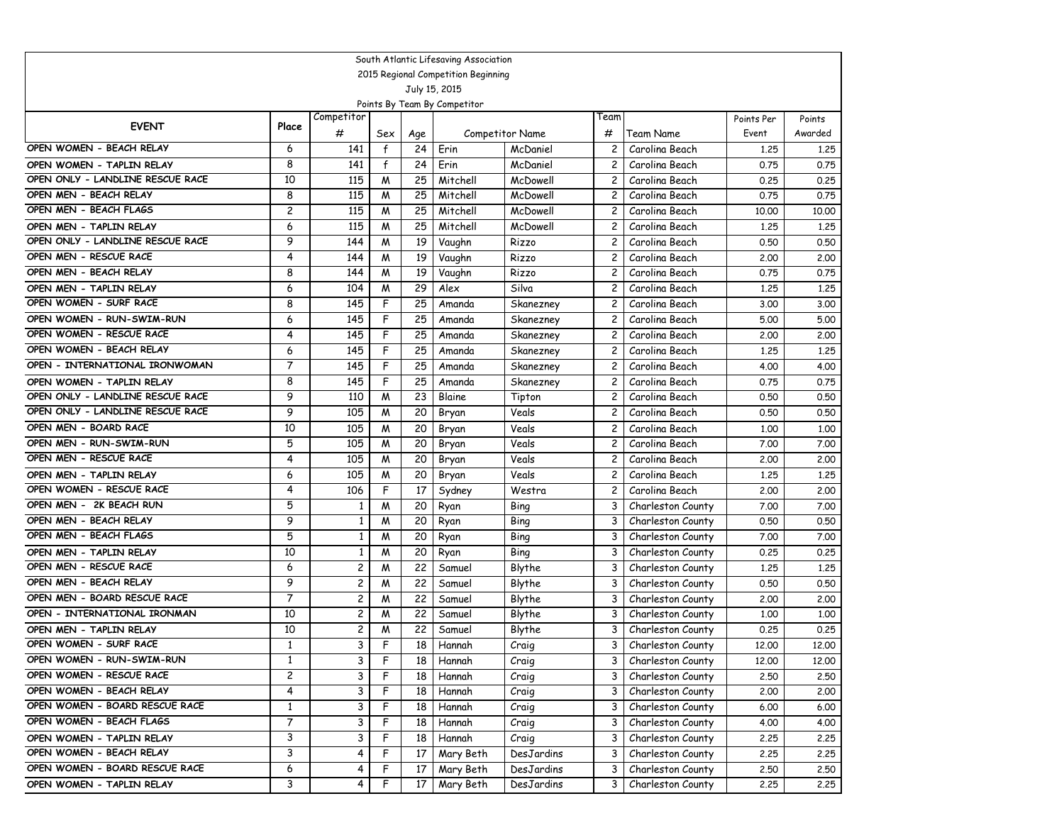|                                                      |                |            |              |     | South Atlantic Lifesaving Association |                        |                |                   |            |         |  |
|------------------------------------------------------|----------------|------------|--------------|-----|---------------------------------------|------------------------|----------------|-------------------|------------|---------|--|
| 2015 Regional Competition Beginning<br>July 15, 2015 |                |            |              |     |                                       |                        |                |                   |            |         |  |
|                                                      |                |            |              |     |                                       |                        |                |                   |            |         |  |
|                                                      |                |            |              |     | Points By Team By Competitor          |                        |                |                   |            |         |  |
| <b>EVENT</b>                                         | Place          | Competitor |              |     |                                       |                        | Геаm           |                   | Points Per | Points  |  |
|                                                      |                | #          | Sex          | Age |                                       | <b>Competitor Name</b> | #              | Team Name         | Event      | Awarded |  |
| OPEN WOMEN - BEACH RELAY                             | 6              | 141        | $\mathbf{f}$ | 24  | Erin                                  | McDaniel               | 2              | Carolina Beach    | 1,25       | 1.25    |  |
| OPEN WOMEN - TAPLIN RELAY                            | 8              | 141        | $\mathbf{f}$ | 24  | Erin                                  | McDaniel               | 2              | Carolina Beach    | 0.75       | 0.75    |  |
| OPEN ONLY - LANDLINE RESCUE RACE                     | 10             | 115        | M            | 25  | Mitchell                              | McDowell               | $\overline{c}$ | Carolina Beach    | 0.25       | 0.25    |  |
| OPEN MEN - BEACH RELAY                               | 8              | 115        | M            | 25  | Mitchell                              | McDowell               | $\overline{c}$ | Carolina Beach    | 0.75       | 0.75    |  |
| OPEN MEN - BEACH FLAGS                               | 2              | 115        | M            | 25  | Mitchell                              | McDowell               | 2              | Carolina Beach    | 10,00      | 10.00   |  |
| OPEN MEN - TAPLIN RELAY                              | 6              | 115        | M            | 25  | Mitchell                              | McDowell               | 2              | Carolina Beach    | 1,25       | 1,25    |  |
| OPEN ONLY - LANDLINE RESCUE RACE                     | 9              | 144        | M            | 19  | Vaughn                                | Rizzo                  | $\overline{c}$ | Carolina Beach    | 0.50       | 0.50    |  |
| OPEN MEN - RESCUE RACE                               | 4              | 144        | M            | 19  | Vaughn                                | Rizzo                  | 2              | Carolina Beach    | 2.00       | 2.00    |  |
| OPEN MEN - BEACH RELAY                               | 8              | 144        | M            | 19  | Vaughn                                | Rizzo                  | 2              | Carolina Beach    | 0.75       | 0.75    |  |
| OPEN MEN - TAPLIN RELAY                              | 6              | 104        | M            | 29  | Alex                                  | Silva                  | $\overline{c}$ | Carolina Beach    | 1,25       | 1,25    |  |
| OPEN WOMEN - SURF RACE                               | 8              | 145        | F            | 25  | Amanda                                | Skanezney              | 2              | Carolina Beach    | 3.00       | 3.00    |  |
| OPEN WOMEN - RUN-SWIM-RUN                            | 6              | 145        | F            | 25  | Amanda                                | Skanezney              | 2              | Carolina Beach    | 5.00       | 5.00    |  |
| OPEN WOMEN - RESCUE RACE                             | 4              | 145        | F            | 25  | Amanda                                | Skanezney              | 2              | Carolina Beach    | 2.00       | 2.00    |  |
| OPEN WOMEN - BEACH RELAY                             | 6              | 145        | F            | 25  | Amanda                                | Skanezney              | 2              | Carolina Beach    | 1,25       | 1,25    |  |
| OPEN - INTERNATIONAL IRONWOMAN                       | $\overline{7}$ | 145        | F            | 25  | Amanda                                | Skanezney              | $\overline{c}$ | Carolina Beach    | 4.00       | 4.00    |  |
| OPEN WOMEN - TAPLIN RELAY                            | 8              | 145        | F            | 25  | Amanda                                | Skanezney              | 2              | Carolina Beach    | 0.75       | 0.75    |  |
| OPEN ONLY - LANDLINE RESCUE RACE                     | 9              | 110        | M            | 23  | Blaine                                | Tipton                 | $\overline{c}$ | Carolina Beach    | 0.50       | 0.50    |  |
| OPEN ONLY - LANDLINE RESCUE RACE                     | 9              | 105        | M            | 20  | Bryan                                 | Veals                  | 2              | Carolina Beach    | 0.50       | 0.50    |  |
| OPEN MEN - BOARD RACE                                | 10             | 105        | M            | 20  | Bryan                                 | Veals                  | 2              | Carolina Beach    | 1.00       | 1.00    |  |
| OPEN MEN - RUN-SWIM-RUN                              | 5              | 105        | M            | 20  | Bryan                                 | Veals                  | 2              | Carolina Beach    | 7.00       | 7.00    |  |
| OPEN MEN - RESCUE RACE                               | 4              | 105        | M            | 20  | Bryan                                 | Veals                  | 2              | Carolina Beach    | 2.00       | 2.00    |  |
| OPEN MEN - TAPLIN RELAY                              | 6              | 105        | M            | 20  | Bryan                                 | Veals                  | $\overline{c}$ | Carolina Beach    | 1,25       | 1,25    |  |
| OPEN WOMEN - RESCUE RACE                             | 4              | 106        | F            | 17  | Sydney                                | Westra                 | 2              | Carolina Beach    | 2,00       | 2.00    |  |
| OPEN MEN - 2K BEACH RUN                              | 5              | 1          | M            | 20  | Ryan                                  | Bing                   | 3              | Charleston County | 7.00       | 7.00    |  |
| OPEN MEN - BEACH RELAY                               | 9              | 1          | М            | 20  | Ryan                                  | Bing                   | 3              | Charleston County | 0.50       | 0.50    |  |
| OPEN MEN - BEACH FLAGS                               | 5              | 1          | M            | 20  | Ryan                                  | Bing                   | 3              | Charleston County | 7.00       | 7.00    |  |
| OPEN MEN - TAPLIN RELAY                              | 10             | 1          | M            | 20  | Ryan                                  | Bing                   | 3              | Charleston County | 0.25       | 0.25    |  |
| OPEN MEN - RESCUE RACE                               | 6              | 2          | M            | 22  | Samuel                                | Blythe                 | 3              | Charleston County | 1,25       | 1,25    |  |
| OPEN MEN - BEACH RELAY                               | 9              | 2          | M            | 22  | Samuel                                | Blythe                 | 3              | Charleston County | 0.50       | 0.50    |  |
| OPEN MEN - BOARD RESCUE RACE                         | 7              | 2          | M            | 22  | Samuel                                | Blythe                 | 3              | Charleston County | 2.00       | 2.00    |  |
| OPEN - INTERNATIONAL IRONMAN                         | 10             | 2          | M            | 22  | Samuel                                | Blythe                 | 3              | Charleston County | 1.00       | 1.00    |  |
| OPEN MEN - TAPLIN RELAY                              | 10             | 2          | M            | 22  | Samuel                                | Blythe                 | 3              | Charleston County | 0.25       | 0.25    |  |
| OPEN WOMEN - SURF RACE                               | $\mathbf{1}$   | 3          | F            | 18  | Hannah                                | Craig                  | 3              | Charleston County | 12,00      | 12,00   |  |
| OPEN WOMEN - RUN-SWIM-RUN                            | 1              | 3          | F            | 18  | Hannah                                | Craig                  | 3              | Charleston County | 12.00      | 12.00   |  |
| OPEN WOMEN - RESCUE RACE                             | 2              | 3          | F            | 18  | Hannah                                | Craig                  | 3              | Charleston County | 2.50       | 2.50    |  |
| OPEN WOMEN - BEACH RELAY                             | 4              | 3          | F            | 18  | Hannah                                | Craig                  | 3              | Charleston County | 2.00       | 2.00    |  |
| OPEN WOMEN - BOARD RESCUE RACE                       | $\mathbf{1}$   | 3          | F            | 18  | Hannah                                | Craig                  | 3              | Charleston County | 6.00       | 6.00    |  |
| OPEN WOMEN - BEACH FLAGS                             | 7              | 3          | F.           | 18  | Hannah                                | Craig                  | 3              | Charleston County | 4.00       | 4.00    |  |
| OPEN WOMEN - TAPLIN RELAY                            | 3              | 3          | F            | 18  | Hannah                                | Craig                  | 3              | Charleston County | 2.25       | 2.25    |  |
| OPEN WOMEN - BEACH RELAY                             | 3              | 4          | F            | 17  | Mary Beth                             | DesJardins             | 3              | Charleston County | 2.25       | 2.25    |  |
| OPEN WOMEN - BOARD RESCUE RACE                       | 6              | 4          | F            | 17  | Mary Beth                             | DesJardins             | 3              | Charleston County | 2.50       | 2.50    |  |
| OPEN WOMEN - TAPLIN RELAY                            | 3              | 4          | F            | 17  | Mary Beth                             | DesJardins             | 3              | Charleston County | 2.25       | 2.25    |  |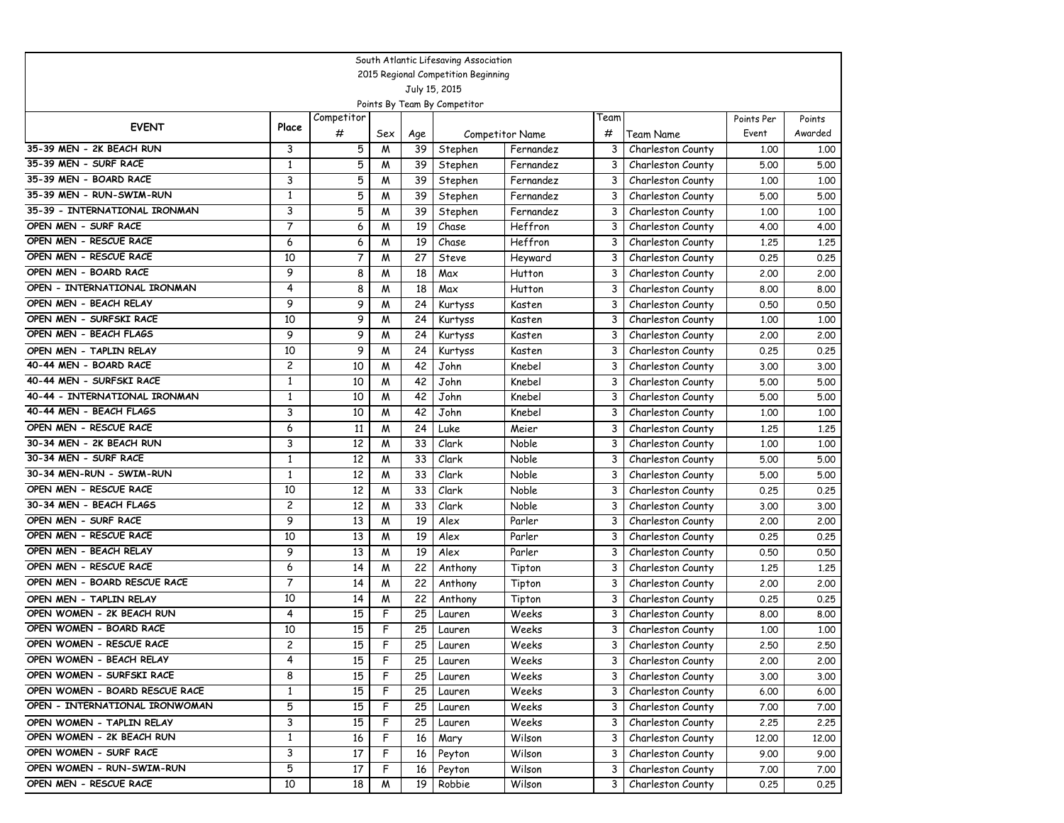|                                     |              |                |     |     | South Atlantic Lifesaving Association |                 |      |                   |            |         |
|-------------------------------------|--------------|----------------|-----|-----|---------------------------------------|-----------------|------|-------------------|------------|---------|
| 2015 Regional Competition Beginning |              |                |     |     |                                       |                 |      |                   |            |         |
|                                     |              |                |     |     | July 15, 2015                         |                 |      |                   |            |         |
|                                     |              |                |     |     | Points By Team By Competitor          |                 |      |                   |            |         |
| <b>EVENT</b>                        | Place        | Competitor     |     |     |                                       |                 | Геаm |                   | Points Per | Points  |
|                                     |              | #              | Sex | Age |                                       | Competitor Name | #    | Team Name         | Event      | Awarded |
| 35-39 MEN - 2K BEACH RUN            | 3            | 5              | M   | 39  | Stephen                               | Fernandez       | 3    | Charleston County | 1.00       | 1.00    |
| 35-39 MEN - SURF RACE               | $\mathbf{1}$ | 5              | M   | 39  | Stephen                               | Fernandez       | 3    | Charleston County | 5.00       | 5.00    |
| 35-39 MEN - BOARD RACE              | 3            | 5              | M   | 39  | Stephen                               | Fernandez       | 3    | Charleston County | 1.00       | 1.00    |
| 35-39 MEN - RUN-SWIM-RUN            | $\mathbf{1}$ | 5              | M   | 39  | Stephen                               | Fernandez       | 3    | Charleston County | 5.00       | 5.00    |
| 35-39 - INTERNATIONAL IRONMAN       | 3            | 5              | M   | 39  | Stephen                               | Fernandez       | 3    | Charleston County | 1.00       | 1.00    |
| OPEN MEN - SURF RACE                | 7            | 6              | M   | 19  | Chase                                 | Heffron         | 3    | Charleston County | 4.00       | 4.00    |
| OPEN MEN - RESCUE RACE              | 6            | 6              | M   | 19  | Chase                                 | Heffron         | 3    | Charleston County | 1,25       | 1,25    |
| OPEN MEN - RESCUE RACE              | 10           | $\overline{7}$ | M   | 27  | Steve                                 | Heyward         | 3    | Charleston County | 0.25       | 0.25    |
| OPEN MEN - BOARD RACE               | 9            | 8              | M   | 18  | Max                                   | Hutton          | 3    | Charleston County | 2,00       | 2.00    |
| OPEN - INTERNATIONAL IRONMAN        | 4            | 8              | M   | 18  | Max                                   | Hutton          | 3    | Charleston County | 8.00       | 8.00    |
| OPEN MEN - BEACH RELAY              | 9            | 9              | M   | 24  | Kurtyss                               | Kasten          | 3    | Charleston County | 0.50       | 0.50    |
| OPEN MEN - SURFSKI RACE             | 10           | 9              | M   | 24  | Kurtyss                               | Kasten          | 3    | Charleston County | 1.00       | 1.00    |
| OPEN MEN - BEACH FLAGS              | 9            | 9              | M   | 24  | Kurtyss                               | Kasten          | 3    | Charleston County | 2.00       | 2.00    |
| OPEN MEN - TAPLIN RELAY             | 10           | 9              | M   | 24  | Kurtyss                               | Kasten          | 3    | Charleston County | 0.25       | 0.25    |
| 40-44 MEN - BOARD RACE              | 2            | 10             | M   | 42  | John                                  | Knebel          | 3    | Charleston County | 3.00       | 3.00    |
| 40-44 MEN - SURFSKI RACE            | $\mathbf{1}$ | 10             | M   | 42  | John                                  | Knebel          | 3    | Charleston County | 5.00       | 5.00    |
| 40-44 - INTERNATIONAL IRONMAN       | 1            | 10             | M   | 42  | John                                  | Knebel          | 3    | Charleston County | 5.00       | 5.00    |
| 40-44 MEN - BEACH FLAGS             | 3            | 10             | M   | 42  | John                                  | Knebel          | 3    | Charleston County | 1.00       | 1.00    |
| OPEN MEN - RESCUE RACE              | 6            | 11             | M   | 24  | Luke                                  | Meier           | 3    | Charleston County | 1,25       | 1,25    |
| 30-34 MEN - 2K BEACH RUN            | 3            | 12             | M   | 33  | Clark                                 | Noble           | 3    | Charleston County | 1.00       | 1.00    |
| 30-34 MEN - SURF RACE               | 1            | 12             | M   | 33  | Clark                                 | Noble           | 3    | Charleston County | 5.00       | 5.00    |
| 30-34 MEN-RUN - SWIM-RUN            | $\mathbf{1}$ | 12             | M   | 33  | Clark                                 | Noble           | 3    | Charleston County | 5.00       | 5.00    |
| OPEN MEN - RESCUE RACE              | 10           | 12             | M   | 33  | Clark                                 | Noble           | 3    | Charleston County | 0.25       | 0.25    |
| 30-34 MEN - BEACH FLAGS             | 2            | 12             | M   | 33  | Clark                                 | Noble           | 3    | Charleston County | 3.00       | 3.00    |
| OPEN MEN - SURF RACE                | 9            | 13             | M   | 19  | Alex                                  | Parler          | 3    | Charleston County | 2,00       | 2.00    |
| OPEN MEN - RESCUE RACE              | 10           | 13             | M   | 19  | Alex                                  | Parler          | 3    | Charleston County | 0.25       | 0.25    |
| OPEN MEN - BEACH RELAY              | 9            | 13             | M   | 19  | Alex                                  | Parler          | 3    | Charleston County | 0.50       | 0.50    |
| OPEN MEN - RESCUE RACE              | 6            | 14             | M   | 22  | Anthony                               | Tipton          | 3    | Charleston County | 1,25       | 1,25    |
| OPEN MEN - BOARD RESCUE RACE        | 7            | 14             | M   | 22  | Anthony                               | Tipton          | 3    | Charleston County | 2.00       | 2.00    |
| OPEN MEN - TAPLIN RELAY             | 10           | 14             | M   | 22  | Anthony                               | Tipton          | 3    | Charleston County | 0.25       | 0.25    |
| OPEN WOMEN - 2K BEACH RUN           | 4            | 15             | F   | 25  | Lauren                                | Weeks           | 3    | Charleston County | 8.00       | 8.00    |
| OPEN WOMEN - BOARD RACE             | 10           | 15             | F   | 25  | Lauren                                | Weeks           | 3    | Charleston County | 1.00       | 1,00    |
| OPEN WOMEN - RESCUE RACE            | 2            | 15             | F   | 25  | Lauren                                | Weeks           | 3    | Charleston County | 2.50       | 2.50    |
| OPEN WOMEN - BEACH RELAY            | 4            | 15             | F   | 25  | Lauren                                | Weeks           | 3    | Charleston County | 2.00       | 2.00    |
| OPEN WOMEN - SURFSKI RACE           | 8            | 15             | F   | 25  | Lauren                                | Weeks           | 3    | Charleston County | 3.00       | 3.00    |
| OPEN WOMEN - BOARD RESCUE RACE      | $\mathbf{1}$ | 15             | F   | 25  | Lauren                                | Weeks           | 3    | Charleston County | 6.00       | 6.00    |
| OPEN - INTERNATIONAL IRONWOMAN      | 5            | 15             | F   | 25  | Lauren                                | Weeks           | 3    | Charleston County | 7.00       | 7.00    |
| OPEN WOMEN - TAPLIN RELAY           | 3            | 15             | F.  | 25  | Lauren                                | Weeks           | 3    | Charleston County | 2.25       | 2.25    |
| OPEN WOMEN - 2K BEACH RUN           | $\mathbf{1}$ | 16             | F   | 16  | Mary                                  | Wilson          | 3    | Charleston County | 12.00      | 12.00   |
| OPEN WOMEN - SURF RACE              | 3            | 17             | F.  | 16  | Peyton                                | Wilson          | 3    | Charleston County | 9.00       | 9.00    |
| OPEN WOMEN - RUN-SWIM-RUN           | 5            | 17             | F   | 16  | Peyton                                | Wilson          | 3    | Charleston County | 7.00       | 7.00    |
| OPEN MEN - RESCUE RACE              | 10           | 18             | M   | 19  | Robbie                                | Wilson          | 3    | Charleston County | 0.25       | 0.25    |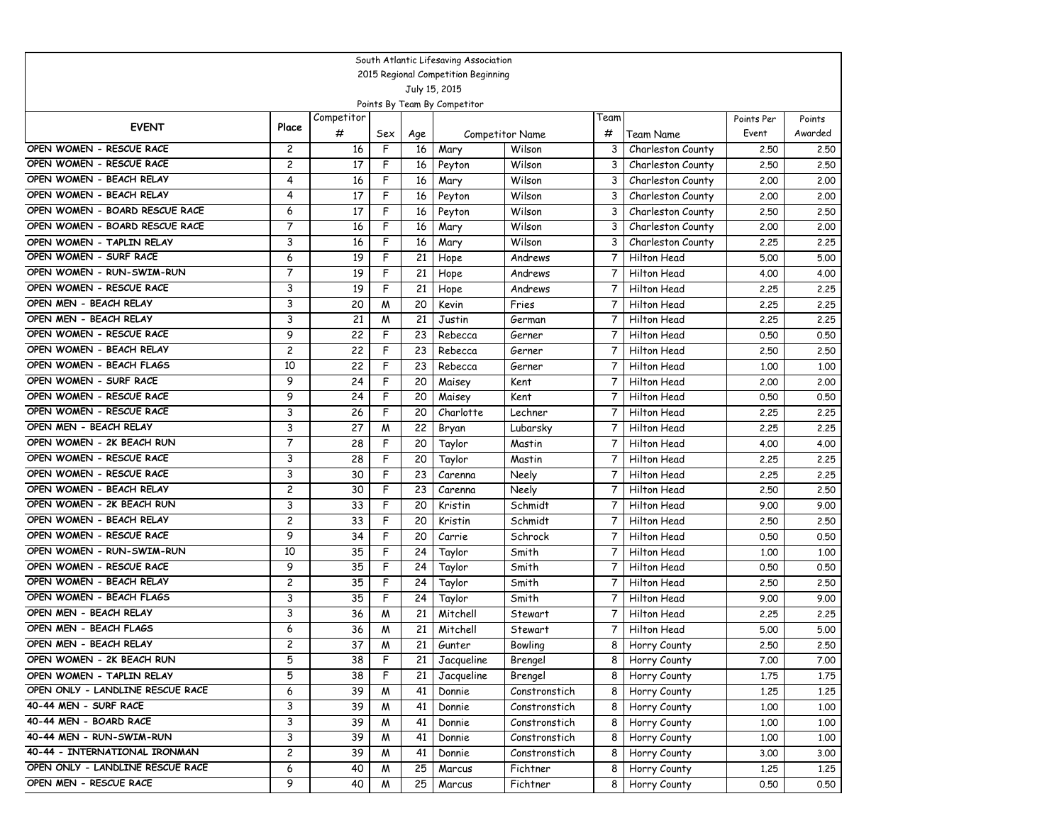|                                  |                         |            |     |                 | South Atlantic Lifesaving Association |                        |                |                    |            |         |
|----------------------------------|-------------------------|------------|-----|-----------------|---------------------------------------|------------------------|----------------|--------------------|------------|---------|
|                                  |                         |            |     |                 | 2015 Regional Competition Beginning   |                        |                |                    |            |         |
|                                  |                         |            |     |                 | July 15, 2015                         |                        |                |                    |            |         |
|                                  |                         |            |     |                 | Points By Team By Competitor          |                        |                |                    |            |         |
| <b>EVENT</b>                     | Place                   | Competitor |     |                 |                                       |                        | Team           |                    | Points Per | Points  |
|                                  |                         | #          | Sex | Age             |                                       | <b>Competitor Name</b> | #              | Team Name          | Event      | Awarded |
| OPEN WOMEN - RESCUE RACE         | 2                       | 16         | F   | 16              | Mary                                  | Wilson                 | 3              | Charleston County  | 2.50       | 2.50    |
| OPEN WOMEN - RESCUE RACE         | $\overline{c}$          | 17         | F   | 16              | Peyton                                | Wilson                 | 3              | Charleston County  | 2.50       | 2.50    |
| OPEN WOMEN - BEACH RELAY         | 4                       | 16         | F   | 16              | Mary                                  | Wilson                 | 3              | Charleston County  | 2.00       | 2.00    |
| OPEN WOMEN - BEACH RELAY         | 4                       | 17         | F   | 16              | Peyton                                | Wilson                 | 3              | Charleston County  | 2.00       | 2.00    |
| OPEN WOMEN - BOARD RESCUE RACE   | 6                       | 17         | F   | 16              | Peyton                                | Wilson                 | 3              | Charleston County  | 2.50       | 2.50    |
| OPEN WOMEN - BOARD RESCUE RACE   | 7                       | 16         | F   | 16              | Mary                                  | Wilson                 | 3              | Charleston County  | 2.00       | 2.00    |
| OPEN WOMEN - TAPLIN RELAY        | 3                       | 16         | F   | 16              | Mary                                  | Wilson                 | 3              | Charleston County  | 2.25       | 2.25    |
| OPEN WOMEN - SURF RACE           | 6                       | 19         | F   | 21              | Hope                                  | Andrews                | $\overline{7}$ | <b>Hilton Head</b> | 5.00       | 5.00    |
| OPEN WOMEN - RUN-SWIM-RUN        | $\overline{7}$          | 19         | F   | 21              | Hope                                  | Andrews                | 7              | <b>Hilton Head</b> | 4.00       | 4.00    |
| OPEN WOMEN - RESCUE RACE         | 3                       | 19         | F   | 21              | Hope                                  | Andrews                | 7              | Hilton Head        | 2.25       | 2.25    |
| OPEN MEN - BEACH RELAY           | 3                       | 20         | M   | 20              | Kevin                                 | Fries                  | 7              | Hilton Head        | 2.25       | 2.25    |
| OPEN MEN - BEACH RELAY           | 3                       | 21         | M   | 21              | <b>Justin</b>                         | German                 | 7              | <b>Hilton Head</b> | 2.25       | 2.25    |
| OPEN WOMEN - RESCUE RACE         | 9                       | 22         | F   | 23              | Rebecca                               | Gerner                 | 7              | Hilton Head        | 0.50       | 0.50    |
| OPEN WOMEN - BEACH RELAY         | $\overline{c}$          | 22         | F   | 23              | Rebecca                               | Gerner                 | 7              | Hilton Head        | 2.50       | 2.50    |
| OPEN WOMEN - BEACH FLAGS         | 10                      | 22         | F   | 23              | Rebecca                               | Gerner                 | $\overline{7}$ | <b>Hilton Head</b> | 1.00       | 1.00    |
| OPEN WOMEN - SURF RACE           | 9                       | 24         | F   | 20              | Maisey                                | Kent                   | 7              | Hilton Head        | 2.00       | 2.00    |
| OPEN WOMEN - RESCUE RACE         | 9                       | 24         | F   | 20              | Maisey                                | Kent                   | $\overline{7}$ | <b>Hilton Head</b> | 0.50       | 0.50    |
| OPEN WOMEN - RESCUE RACE         | 3                       | 26         | F   | 20              | Charlotte                             | Lechner                | 7              | <b>Hilton Head</b> | 2.25       | 2.25    |
| OPEN MEN - BEACH RELAY           | 3                       | 27         | M   | 22              | Bryan                                 | Lubarsky               | 7              | Hilton Head        | 2.25       | 2.25    |
| OPEN WOMEN - 2K BEACH RUN        | 7                       | 28         | F   | 20              | Taylor                                | Mastin                 | $\overline{7}$ | Hilton Head        | 4.00       | 4.00    |
| OPEN WOMEN - RESCUE RACE         | 3                       | 28         | F   | 20              | Taylor                                | Mastin                 | 7              | <b>Hilton Head</b> | 2,25       | 2.25    |
| OPEN WOMEN - RESCUE RACE         | 3                       | 30         | F   | 23              | Carenna                               | Neely                  | 7              | Hilton Head        | 2.25       | 2.25    |
| OPEN WOMEN - BEACH RELAY         | $\overline{\mathbf{c}}$ | 30         | F   | 23              | Carenna                               | Neely                  | 7              | Hilton Head        | 2.50       | 2.50    |
| OPEN WOMEN - 2K BEACH RUN        | 3                       | 33         | F   | 20              | Kristin                               | Schmidt                | 7              | <b>Hilton Head</b> | 9.00       | 9.00    |
| OPEN WOMEN - BEACH RELAY         | 2                       | 33         | F   | 20              | Kristin                               | Schmidt                | 7              | Hilton Head        | 2.50       | 2.50    |
| OPEN WOMEN - RESCUE RACE         | 9                       | 34         | F   | 20              | Carrie                                | Schrock                | 7              | Hilton Head        | 0.50       | 0.50    |
| OPEN WOMEN - RUN-SWIM-RUN        | 10                      | 35         | F   | 24              | Taylor                                | Smith                  | 7              | Hilton Head        | 1,00       | 1.00    |
| OPEN WOMEN - RESCUE RACE         | 9                       | 35         | F   | 24              | Taylor                                | Smith                  | 7              | Hilton Head        | 0.50       | 0.50    |
| OPEN WOMEN - BEACH RELAY         | 2                       | 35         | F   | 24              | Taylor                                | Smith                  | 7              | Hilton Head        | 2.50       | 2.50    |
| OPEN WOMEN - BEACH FLAGS         | 3                       | 35         | F   | 24              | Taylor                                | Smith                  | 7              | Hilton Head        | 9.00       | 9.00    |
| OPEN MEN - BEACH RELAY           | 3                       | 36         | M   | 21              | Mitchell                              | Stewart                | 7              | Hilton Head        | 2.25       | 2.25    |
| OPEN MEN - BEACH FLAGS           | 6                       | 36         | M   | 21              | Mitchell                              | Stewart                | 7              | Hilton Head        | 5.00       | 5.00    |
| OPEN MEN - BEACH RELAY           | 2                       | 37         | W   | 21              | Gunter                                | Bowling                | 8              | Horry County       | 2.50       | 2.50    |
| OPEN WOMEN - 2K BEACH RUN        | 5                       | 38         | F   | 21 <sup>1</sup> | Jacqueline                            | Brengel                | 8              | Horry County       | 7.00       | 7.00    |
| OPEN WOMEN - TAPLIN RELAY        | 5                       | 38         | F   | 21              | Jacqueline                            | Brengel                | 8              | Horry County       | 1.75       | 1.75    |
| OPEN ONLY - LANDLINE RESCUE RACE | 6                       | 39         | M   | 41              | Donnie                                | Constronstich          | 8              | Horry County       | 1.25       | 1.25    |
| 40-44 MEN - SURF RACE            | 3                       | 39         | M   | 41              | Donnie                                | Constronstich          | 8              | Horry County       | 1.00       | 1.00    |
| 40-44 MEN - BOARD RACE           | 3                       | 39         | M   | 41              | Donnie                                | Constronstich          | 8              | Horry County       | 1.00       | 1.00    |
| 40-44 MEN - RUN-SWIM-RUN         | 3                       | 39         | M   | 41              | Donnie                                | Constronstich          | 8              | Horry County       | 1.00       | 1.00    |
| 40-44 - INTERNATIONAL IRONMAN    | $\overline{\mathbf{c}}$ | 39         | M   | 41              | Donnie                                | Constronstich          | 8              | Horry County       | 3.00       | 3.00    |
| OPEN ONLY - LANDLINE RESCUE RACE | 6                       | 40         | M   | 25              | Marcus                                | Fichtner               | 8              | Horry County       | 1.25       | 1.25    |
| OPEN MEN - RESCUE RACE           | 9                       | 40         | M   | 25              | Marcus                                | Fichtner               | 8              | Horry County       | 0.50       | 0.50    |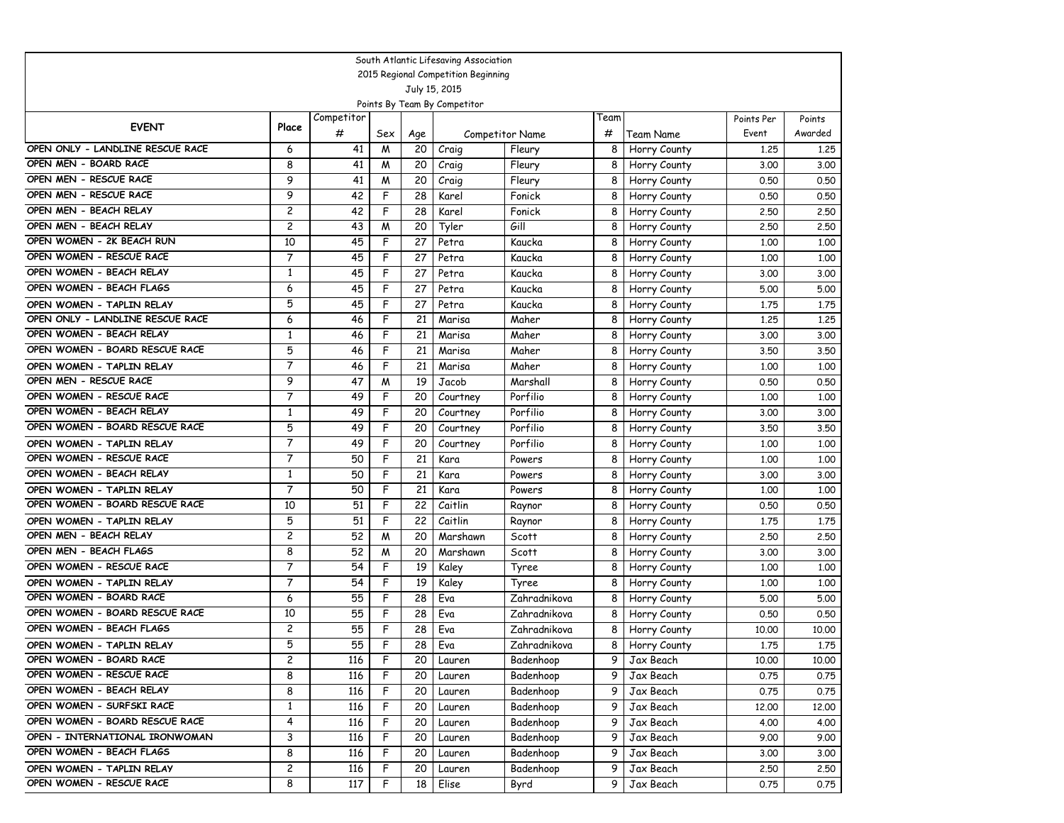|                                                                  |                   |                 |        |                 | South Atlantic Lifesaving Association |                        |      |              |            |                   |
|------------------------------------------------------------------|-------------------|-----------------|--------|-----------------|---------------------------------------|------------------------|------|--------------|------------|-------------------|
|                                                                  |                   |                 |        |                 | 2015 Regional Competition Beginning   |                        |      |              |            |                   |
|                                                                  |                   |                 |        |                 | July 15, 2015                         |                        |      |              |            |                   |
|                                                                  |                   |                 |        |                 | Points By Team By Competitor          |                        |      |              |            |                   |
| <b>EVENT</b>                                                     | Place             | Competitor      |        |                 |                                       |                        | Team |              | Points Per | Points            |
|                                                                  |                   | #               | Sex    | Age             |                                       | <b>Competitor Name</b> | #    | Team Name    | Event      | Awarded           |
| OPEN ONLY - LANDLINE RESCUE RACE                                 | 6                 | 41              | M      | 20              | Craig                                 | Fleury                 | 8    | Horry County | 1,25       | 1.25              |
| OPEN MEN - BOARD RACE                                            | 8                 | 41              | M      | 20              | Craig                                 | Fleury                 | 8    | Horry County | 3.00       | 3.00              |
| OPEN MEN - RESCUE RACE                                           | 9                 | 41              | M      | 20              | Craig                                 | Fleury                 | 8    | Horry County | 0.50       | 0.50              |
| OPEN MEN - RESCUE RACE                                           | 9                 | 42              | F      | 28              | Karel                                 | Fonick                 | 8    | Horry County | 0.50       | 0.50              |
| OPEN MEN - BEACH RELAY                                           | 2                 | 42              | F      | 28              | Karel                                 | Fonick                 | 8    | Horry County | 2.50       | 2.50              |
| OPEN MEN - BEACH RELAY                                           | 2                 | 43              | M      | 20              | Tyler                                 | Gill                   | 8    | Horry County | 2.50       | 2.50              |
| OPEN WOMEN - 2K BEACH RUN                                        | 10                | 45              | F      | 27              | Petra                                 | Kaucka                 | 8    | Horry County | 1,00       | 1.00              |
| OPEN WOMEN - RESCUE RACE                                         | 7                 | 45              | F      | 27              | Petra                                 | Kaucka                 | 8    | Horry County | 1,00       | 1.00              |
| OPEN WOMEN - BEACH RELAY                                         | 1                 | 45              | F      | 27              | Petra                                 | Kaucka                 | 8    | Horry County | 3.00       | 3.00              |
| OPEN WOMEN - BEACH FLAGS                                         | 6                 | 45              | F      | $\overline{27}$ | Petra                                 | Kaucka                 | 8    | Horry County | 5.00       | 5.00              |
| OPEN WOMEN - TAPLIN RELAY                                        | 5                 | 45              | F      | 27              | Petra                                 | Kaucka                 | 8    | Horry County | 1.75       | 1.75              |
| OPEN ONLY - LANDLINE RESCUE RACE                                 | 6                 | 46              | F      | 21              | Marisa                                | Maher                  | 8    | Horry County | 1,25       | 1,25              |
| OPEN WOMEN - BEACH RELAY                                         | 1                 | 46              | F      | 21              | Marisa                                | Maher                  | 8    | Horry County | 3.00       | 3.00              |
| OPEN WOMEN - BOARD RESCUE RACE                                   | 5                 | 46              | F      | 21              | Marisa                                | Maher                  | 8    | Horry County | 3.50       | 3.50              |
| OPEN WOMEN - TAPLIN RELAY                                        | 7                 | 46              | F      | 21              | Marisa                                | Maher                  | 8    | Horry County | 1.00       | 1.00              |
| OPEN MEN - RESCUE RACE                                           | 9                 | 47              | M      | 19              | Jacob                                 | Marshall               | 8    | Horry County | 0.50       | 0.50              |
| OPEN WOMEN - RESCUE RACE                                         | 7                 | 49              | F      | 20              | Courtney                              | Porfilio               | 8    | Horry County | 1,00       | 1.00              |
| OPEN WOMEN - BEACH RELAY                                         | $\mathbf{1}$      | 49              | F      | 20              | Courtney                              | Porfilio               | 8    | Horry County | 3.00       | 3.00              |
| OPEN WOMEN - BOARD RESCUE RACE                                   | 5                 | 49              | F      | 20              | Courtney                              | Porfilio               | 8    | Horry County | 3.50       | 3.50              |
| OPEN WOMEN - TAPLIN RELAY                                        | 7                 | 49              | F      | 20              | Courtney                              | Porfilio               | 8    | Horry County | 1,00       | 1.00              |
| OPEN WOMEN - RESCUE RACE                                         | 7                 | 50              | F      | 21              | Kara                                  | Powers                 | 8    | Horry County | 1,00       | 1.00              |
| OPEN WOMEN - BEACH RELAY                                         | $\mathbf{1}$      | 50              | F      | 21              | Kara                                  | Powers                 | 8    | Horry County | 3.00       | 3.00              |
| OPEN WOMEN - TAPLIN RELAY                                        | 7                 | 50              | F      | 21              | Kara                                  | Powers                 | 8    | Horry County | 1,00       | 1.00              |
| OPEN WOMEN - BOARD RESCUE RACE                                   | 10                | 51              | F      | 22              | Caitlin                               | Raynor                 | 8    | Horry County | 0.50       | 0.50              |
| OPEN WOMEN - TAPLIN RELAY                                        | 5                 | 51              | F      | 22              | Caitlin                               | Raynor                 | 8    | Horry County | 1.75       | 1.75              |
| OPEN MEN - BEACH RELAY                                           | 2                 | 52              | M      | 20              | Marshawn                              | Scott                  | 8    | Horry County | 2.50       | 2.50              |
| OPEN MEN - BEACH FLAGS                                           | 8                 | 52              | M      | 20              | Marshawn                              | Scott                  | 8    | Horry County | 3.00       | 3.00              |
| OPEN WOMEN - RESCUE RACE                                         | $\overline{7}$    | $\overline{54}$ | F      | 19              | Kaley                                 | Tyree                  | 8    | Horry County | 1,00       | 1.00              |
| OPEN WOMEN - TAPLIN RELAY<br>OPEN WOMEN - BOARD RACE             | 7                 | 54              | F      | 19              | Kaley                                 | Tyree                  | 8    | Horry County | 1,00       | 1.00              |
| OPEN WOMEN - BOARD RESCUE RACE                                   | 6                 | 55              | F      | 28              | Eva                                   | Zahradnikova           | 8    | Horry County | 5.00       | 5.00              |
| OPEN WOMEN - BEACH FLAGS                                         | 10                | 55              | F      | 28<br>28        | Eva                                   | Zahradnikova           | 8    | Horry County | 0.50       | 0.50              |
|                                                                  | 2<br>5            | 55              | F<br>F | 28              | Eva                                   | Zahradnikova           | 8    | Horry County | 10,00      | 10.00             |
| OPEN WOMEN - TAPLIN RELAY                                        |                   | 55              |        |                 | Eva                                   | Zahradnikova           | 8    | Horry County | 1.75       | 1.75              |
| OPEN WOMEN - BOARD RACE<br>OPEN WOMEN - RESCUE RACE              | 2                 | 116             | F<br>F | 20<br>20        | Lauren                                | Badenhoop              | 9    | Jax Beach    | 10.00      | 10.00             |
|                                                                  | 8                 | 116             |        |                 | Lauren                                | Badenhoop              | 9    | Jax Beach    | 0.75       | 0.75              |
| OPEN WOMEN - BEACH RELAY<br>OPEN WOMEN - SURFSKI RACE            | 8<br>$\mathbf{1}$ | 116             | F      | 20              | Lauren                                | Badenhoop              | 9    | Jax Beach    | 0.75       | 0.75              |
|                                                                  |                   | 116             | F.     | 20              | Lauren                                | Badenhoop              | 9    | Jax Beach    | 12.00      | 12.00             |
| OPEN WOMEN - BOARD RESCUE RACE<br>OPEN - INTERNATIONAL IRONWOMAN | 4                 | 116             | F      | 20              | Lauren                                | Badenhoop              | 9    | Jax Beach    | 4.00       | 4.00              |
|                                                                  | 3                 | 116             | F.     | 20              | Lauren                                | Badenhoop              | 9    | Jax Beach    | 9.00       | 9.00 <sub>1</sub> |
| OPEN WOMEN - BEACH FLAGS                                         | 8                 | 116             | F      | 20              | Lauren                                | Badenhoop              | 9    | Jax Beach    | 3.00       | 3.00              |
| OPEN WOMEN - TAPLIN RELAY                                        | 2                 | 116             | F      | 20              | Lauren                                | Badenhoop              | 9    | Jax Beach    | 2.50       | 2.50              |
| OPEN WOMEN - RESCUE RACE                                         | 8                 | 117             | F      | 18              | Elise                                 | Byrd                   | 9    | Jax Beach    | 0.75       | 0.75              |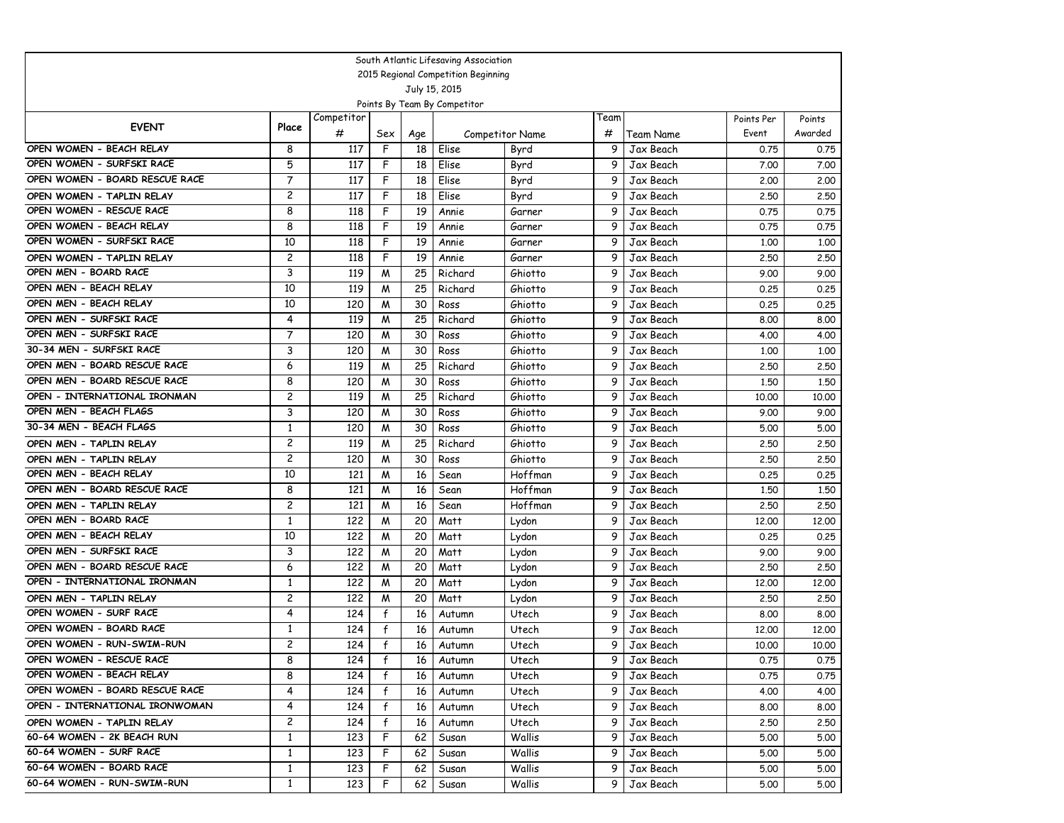|                                                        |                |            |                   |          | South Atlantic Lifesaving Association |                        |        |                        |               |               |
|--------------------------------------------------------|----------------|------------|-------------------|----------|---------------------------------------|------------------------|--------|------------------------|---------------|---------------|
|                                                        |                |            |                   |          | 2015 Regional Competition Beginning   |                        |        |                        |               |               |
|                                                        |                |            |                   |          | July 15, 2015                         |                        |        |                        |               |               |
|                                                        |                |            |                   |          | Points By Team By Competitor          |                        |        |                        |               |               |
| <b>EVENT</b>                                           | Place          | Competitor |                   |          |                                       |                        | Team   |                        | Points Per    | Points        |
|                                                        |                | #          | Sex               | Age      |                                       | <b>Competitor Name</b> | #      | Team Name              | Event         | Awarded       |
| OPEN WOMEN - BEACH RELAY                               | 8              | 117        | F                 | 18       | Elise                                 | Byrd                   | 9      | Jax Beach              | 0.75          | 0.75          |
| OPEN WOMEN - SURFSKI RACE                              | 5              | 117        | F                 | 18       | Elise                                 | Byrd                   | 9      | Jax Beach              | 7.00          | 7.00          |
| OPEN WOMEN - BOARD RESCUE RACE                         | 7              | 117        | F                 | 18       | Elise                                 | Byrd                   | 9      | Jax Beach              | 2.00          | 2.00          |
| OPEN WOMEN - TAPLIN RELAY                              | 2              | 117        | F                 | 18       | Elise                                 | Byrd                   | 9      | Jax Beach              | 2.50          | 2.50          |
| OPEN WOMEN - RESCUE RACE                               | 8              | 118        | F                 | 19       | Annie                                 | Garner                 | 9      | Jax Beach              | 0.75          | 0.75          |
| OPEN WOMEN - BEACH RELAY                               | 8              | 118        | F                 | 19       | Annie                                 | Garner                 | 9      | Jax Beach              | 0.75          | 0.75          |
| OPEN WOMEN - SURFSKI RACE                              | 10             | 118        | F                 | 19       | Annie                                 | Garner                 | 9      | Jax Beach              | 1,00          | 1.00          |
| OPEN WOMEN - TAPLIN RELAY                              | 2              | 118        | F                 | 19       | Annie                                 | Garner                 | 9      | Jax Beach              | 2.50          | 2.50          |
| OPEN MEN - BOARD RACE                                  | 3              | 119        | M                 | 25       | Richard                               | Ghiotto                | 9      | Jax Beach              | 9.00          | 9.00          |
| OPEN MEN - BEACH RELAY                                 | 10             | 119        | M                 | 25       | Richard                               | Ghiotto                | 9      | Jax Beach              | 0.25          | 0.25          |
| OPEN MEN - BEACH RELAY                                 | 10             | 120        | M                 | 30       | Ross                                  | Ghiotto                | 9      | Jax Beach              | 0.25          | 0.25          |
| OPEN MEN - SURFSKI RACE                                | 4              | 119        | M                 | 25       | Richard                               | Ghiotto                | 9      | Jax Beach              | 8.00          | 8.00          |
| OPEN MEN - SURFSKI RACE                                | 7              | 120        | M                 | 30       | Ross                                  | Ghiotto                | 9      | Jax Beach              | 4.00          | 4.00          |
| 30-34 MEN - SURFSKI RACE                               | 3              | 120        | M                 | 30       | Ross                                  | Ghiotto                | 9      | Jax Beach              | 1,00          | 1.00          |
| OPEN MEN - BOARD RESCUE RACE                           | 6              | 119        | M                 | 25       | Richard                               | Ghiotto                | 9      | Jax Beach              | 2.50          | 2.50          |
| OPEN MEN - BOARD RESCUE RACE                           | 8              | 120        | M                 | 30       | Ross                                  | Ghiotto                | 9      | Jax Beach              | 1.50          | 1,50          |
| OPEN - INTERNATIONAL IRONMAN                           | 2              | 119        | M                 | 25       | Richard                               | Ghiotto                | 9      | Jax Beach              | 10.00         | 10.00         |
| OPEN MEN - BEACH FLAGS<br>30-34 MEN - BEACH FLAGS      | 3              | 120        | M                 | 30       | Ross                                  | Ghiotto                | 9      | Jax Beach              | 9.00          | 9.00          |
|                                                        | $\mathbf{1}$   | 120        | M                 | 30       | Ross                                  | Ghiotto                | 9      | Jax Beach              | 5.00          | 5.00          |
| OPEN MEN - TAPLIN RELAY                                | 2              | 119        | M                 | 25       | Richard                               | Ghiotto                | 9      | Jax Beach              | 2.50          | 2.50          |
| OPEN MEN - TAPLIN RELAY                                | 2              | 120        | M                 | 30       | Ross                                  | Ghiotto                | 9      | Jax Beach              | 2.50          | 2.50          |
| OPEN MEN - BEACH RELAY<br>OPEN MEN - BOARD RESCUE RACE | 10             | 121        | M                 | 16       | Sean                                  | Hoffman                | 9      | Jax Beach              | 0.25          | 0.25          |
|                                                        | 8              | 121        | M                 | 16       | Sean                                  | Hoffman                | 9      | Jax Beach              | 1,50          | 1,50          |
| OPEN MEN - TAPLIN RELAY<br>OPEN MEN - BOARD RACE       | 2              | 121        | M                 | 16       | Sean                                  | Hoffman                | 9      | Jax Beach              | 2.50          | 2.50          |
| OPEN MEN - BEACH RELAY                                 | 1<br>10        | 122        | M                 | 20       | Matt                                  | Lydon                  | 9      | Jax Beach              | 12,00         | 12,00         |
| OPEN MEN - SURFSKI RACE                                | 3              | 122        | M                 | 20       | Matt                                  | Lydon                  | 9      | Jax Beach              | 0.25          | 0.25          |
| OPEN MEN - BOARD RESCUE RACE                           | 6              | 122        | M                 | 20       | Matt                                  | Lydon                  | 9      | Jax Beach              | 9.00          | 9.00          |
| OPEN - INTERNATIONAL IRONMAN                           | $\mathbf{1}$   | 122        | M                 | 20       | Matt                                  | Lydon                  | 9<br>9 | Jax Beach              | 2.50          | 2.50          |
|                                                        | $\overline{c}$ | 122<br>122 | M                 | 20<br>20 | Matt                                  | Lydon                  | 9      | Jax Beach              | 12,00         | 12,00         |
| OPEN MEN - TAPLIN RELAY<br>OPEN WOMEN - SURF RACE      | 4              | 124        | M<br>$\mathsf{f}$ | 16       | Matt                                  | Lydon<br>Utech         | 9      | Jax Beach<br>Jax Beach | 2.50          | 2.50          |
| OPEN WOMEN - BOARD RACE                                | 1              | 124        | f                 | 16       | Autumn<br>Autumn                      | Utech                  | 9      | Jax Beach              | 8.00<br>12,00 | 8.00<br>12,00 |
| OPEN WOMEN - RUN-SWIM-RUN                              | 2              | 124        | f                 | 16       | Autumn                                | Utech                  | 9      | Jax Beach              | 10.00         | 10.00         |
| OPEN WOMEN - RESCUE RACE                               | 8              | 124        | f                 |          |                                       | Utech                  | 9      |                        |               |               |
| OPEN WOMEN - BEACH RELAY                               | 8              | 124        | f                 | 16<br>16 | Autumn<br>Autumn                      | Utech                  | 9      | Jax Beach<br>Jax Beach | 0.75<br>0.75  | 0.75<br>0.75  |
| OPEN WOMEN - BOARD RESCUE RACE                         | 4              | 124        | $\mathbf{f}$      | 16       |                                       | Utech                  | 9      |                        |               | 4.00          |
| OPEN - INTERNATIONAL IRONWOMAN                         | 4              | 124        | $\mathbf{f}$      | 16       | Autumn<br>Autumn                      | Utech                  | 9      | Jax Beach<br>Jax Beach | 4.00<br>8.00  | 8.00          |
| OPEN WOMEN - TAPLIN RELAY                              | 2              |            |                   |          |                                       |                        | 9      |                        |               |               |
| 60-64 WOMEN - 2K BEACH RUN                             | 1              | 124<br>123 | f<br>F.           | 16<br>62 | Autumn<br>Susan                       | Utech<br>Wallis        | 9      | Jax Beach<br>Jax Beach | 2.50<br>5.00  | 2.50<br>5.00  |
| 60-64 WOMEN - SURF RACE                                | $\mathbf{1}$   | 123        | F                 | 62       | Susan                                 | Wallis                 | 9      | Jax Beach              | 5.00          | 5.00          |
| 60-64 WOMEN - BOARD RACE                               | $\mathbf{1}$   | 123        | F                 | 62       |                                       | Wallis                 | 9      | Jax Beach              | 5.00          | 5.00          |
| 60-64 WOMEN - RUN-SWIM-RUN                             | $\mathbf{1}$   |            |                   |          | Susan                                 |                        |        |                        |               |               |
|                                                        |                | 123        | F                 | 62       | Susan                                 | Wallis                 | 9      | Jax Beach              | 5.00          | 5.00          |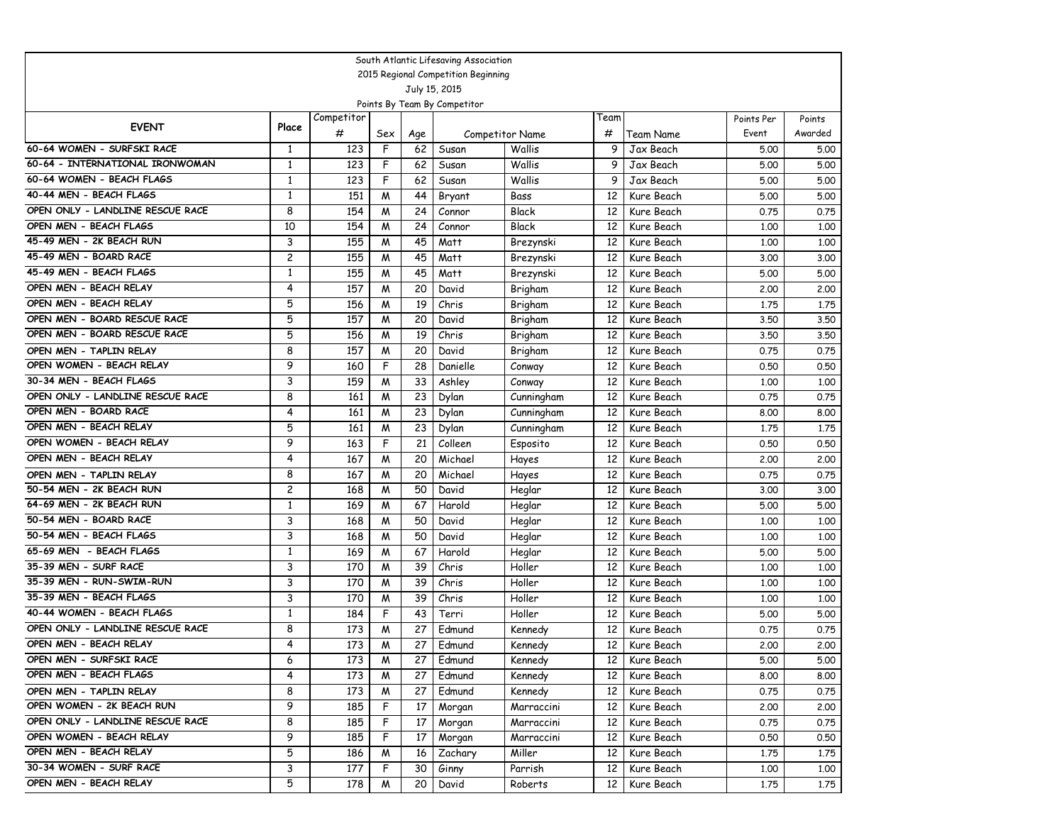|                                                      |                         |            |     |     | South Atlantic Lifesaving Association |                        |                 |                 |            |         |  |
|------------------------------------------------------|-------------------------|------------|-----|-----|---------------------------------------|------------------------|-----------------|-----------------|------------|---------|--|
| 2015 Regional Competition Beginning<br>July 15, 2015 |                         |            |     |     |                                       |                        |                 |                 |            |         |  |
|                                                      |                         |            |     |     |                                       |                        |                 |                 |            |         |  |
|                                                      |                         |            |     |     | Points By Team By Competitor          |                        |                 |                 |            |         |  |
| <b>EVENT</b>                                         | Place                   | Competitor |     |     |                                       |                        | Team            |                 | Points Per | Points  |  |
|                                                      |                         | #          | Sex | Age |                                       | <b>Competitor Name</b> | #               | Team Name       | Event      | Awarded |  |
| 60-64 WOMEN - SURFSKI RACE                           | 1                       | 123        | F   | 62  | Susan                                 | Wallis                 | 9               | Jax Beach       | 5.00       | 5.00    |  |
| 60-64 - INTERNATIONAL IRONWOMAN                      | $\mathbf{1}$            | 123        | F   | 62  | Susan                                 | Wallis                 | 9               | Jax Beach       | 5.00       | 5.00    |  |
| 60-64 WOMEN - BEACH FLAGS                            | $\mathbf{1}$            | 123        | F   | 62  | Susan                                 | Wallis                 | 9               | Jax Beach       | 5.00       | 5.00    |  |
| 40-44 MEN - BEACH FLAGS                              | $\mathbf{1}$            | 151        | M   | 44  | Bryant                                | Bass                   | 12              | Kure Beach      | 5.00       | 5.00    |  |
| OPEN ONLY - LANDLINE RESCUE RACE                     | 8                       | 154        | M   | 24  | Connor                                | <b>Black</b>           | 12              | Kure Beach      | 0.75       | 0.75    |  |
| OPEN MEN - BEACH FLAGS                               | 10                      | 154        | M   | 24  | Connor                                | <b>Black</b>           | 12              | Kure Beach      | 1,00       | 1.00    |  |
| 45-49 MEN - 2K BEACH RUN                             | 3                       | 155        | M   | 45  | Matt                                  | Brezynski              | 12              | Kure Beach      | 1,00       | 1.00    |  |
| 45-49 MEN - BOARD RACE                               | 2                       | 155        | M   | 45  | Matt                                  | Brezynski              | 12              | Kure Beach      | 3.00       | 3.00    |  |
| 45-49 MEN - BEACH FLAGS                              | $\mathbf{1}$            | 155        | M   | 45  | Matt                                  | Brezynski              | 12              | Kure Beach      | 5.00       | 5.00    |  |
| OPEN MEN - BEACH RELAY                               | 4                       | 157        | M   | 20  | David                                 | Brigham                | 12              | Kure Beach      | 2.00       | 2.00    |  |
| OPEN MEN - BEACH RELAY                               | 5                       | 156        | M   | 19  | Chris                                 | Brigham                | 12              | Kure Beach      | 1.75       | 1.75    |  |
| OPEN MEN - BOARD RESCUE RACE                         | 5                       | 157        | M   | 20  | David                                 | Brigham                | 12              | Kure Beach      | 3.50       | 3.50    |  |
| OPEN MEN - BOARD RESCUE RACE                         | 5                       | 156        | M   | 19  | Chris                                 | Brigham                | 12              | Kure Beach      | 3.50       | 3.50    |  |
| OPEN MEN - TAPLIN RELAY                              | 8                       | 157        | M   | 20  | David                                 | Brigham                | 12              | Kure Beach      | 0.75       | 0.75    |  |
| OPEN WOMEN - BEACH RELAY                             | 9                       | 160        | F   | 28  | Danielle                              | Conway                 | 12              | Kure Beach      | 0.50       | 0.50    |  |
| 30-34 MEN - BEACH FLAGS                              | 3                       | 159        | M   | 33  | Ashley                                | Conway                 | 12              | Kure Beach      | 1,00       | 1.00    |  |
| OPEN ONLY - LANDLINE RESCUE RACE                     | 8                       | 161        | M   | 23  | Dylan                                 | Cunningham             | 12              | Kure Beach      | 0.75       | 0.75    |  |
| OPEN MEN - BOARD RACE                                | 4                       | 161        | M   | 23  | Dylan                                 | Cunningham             | 12              | Kure Beach      | 8.00       | 8.00    |  |
| OPEN MEN - BEACH RELAY                               | 5                       | 161        | M   | 23  | Dylan                                 | Cunningham             | 12              | Kure Beach      | 1.75       | 1.75    |  |
| OPEN WOMEN - BEACH RELAY                             | 9                       | 163        | F   | 21  | Colleen                               | Esposito               | 12              | Kure Beach      | 0.50       | 0.50    |  |
| OPEN MEN - BEACH RELAY                               | 4                       | 167        | M   | 20  | Michael                               | Hayes                  | 12              | Kure Beach      | 2,00       | 2.00    |  |
| OPEN MEN - TAPLIN RELAY                              | 8                       | 167        | W   | 20  | Michael                               | Hayes                  | 12              | Kure Beach      | 0.75       | 0.75    |  |
| 50-54 MEN - 2K BEACH RUN                             | $\overline{\mathbf{c}}$ | 168        | M   | 50  | David                                 | Heglar                 | 12              | Kure Beach      | 3.00       | 3.00    |  |
| 64-69 MEN - 2K BEACH RUN                             | 1                       | 169        | M   | 67  | Harold                                | Heglar                 | 12              | Kure Beach      | 5.00       | 5.00    |  |
| 50-54 MEN - BOARD RACE                               | 3                       | 168        | M   | 50  | David                                 | Heglar                 | 12              | Kure Beach      | 1,00       | 1.00    |  |
| 50-54 MEN - BEACH FLAGS                              | 3                       | 168        | M   | 50  | David                                 | Heglar                 | 12              | Kure Beach      | 1,00       | 1.00    |  |
| 65-69 MEN - BEACH FLAGS                              | $\mathbf{1}$            | 169        | M   | 67  | Harold                                | Heglar                 | 12              | Kure Beach      | 5.00       | 5.00    |  |
| 35-39 MEN - SURF RACE                                | 3                       | 170        | M   | 39  | Chris                                 | Holler                 | 12              | Kure Beach      | 1,00       | 1.00    |  |
| 35-39 MEN - RUN-SWIM-RUN                             | 3                       | 170        | M   | 39  | Chris                                 | Holler                 | 12              | Kure Beach      | 1,00       | 1.00    |  |
| 35-39 MEN - BEACH FLAGS                              | 3                       | 170        | M   | 39  | Chris                                 | Holler                 | 12              | Kure Beach      | 1,00       | 1.00    |  |
| 40-44 WOMEN - BEACH FLAGS                            | 1                       | 184        | F   | 43  | Terri                                 | Holler                 | 12              | Kure Beach      | 5.00       | 5.00    |  |
| OPEN ONLY - LANDLINE RESCUE RACE                     | 8                       | 173        | M   | 27  | Edmund                                | Kennedy                | 12              | Kure Beach      | 0.75       | 0.75    |  |
| OPEN MEN - BEACH RELAY                               | 4                       | 173        | М   | 27  | Edmund                                | Kennedy                | 12              | Kure Beach      | 2.00       | 2.00    |  |
| OPEN MEN - SURFSKI RACE                              | 6                       | 173        | M   | 27  | Edmund                                | Kennedy                |                 | 12   Kure Beach | 5.00       | 5.00    |  |
| OPEN MEN - BEACH FLAGS                               | 4                       | 173        | M   | 27  | Edmund                                | Kennedy                | 12 <sub>1</sub> | Kure Beach      | 8.00       | 8.00    |  |
| OPEN MEN - TAPLIN RELAY                              | 8                       | 173        | M   | 27  | Edmund                                | Kennedy                | 12 I            | Kure Beach      | 0.75       | 0.75    |  |
| OPEN WOMEN - 2K BEACH RUN                            | 9                       | 185        | F   | 17  | Morgan                                | Marraccini             | 12 <sub>1</sub> | Kure Beach      | 2.00       | 2.00    |  |
| OPEN ONLY - LANDLINE RESCUE RACE                     | 8                       | 185        | F.  | 17  | Morgan                                | Marraccini             | 12 I            | Kure Beach      | 0.75       | 0.75    |  |
| OPEN WOMEN - BEACH RELAY                             | 9                       | 185        | F.  | 17  | Morgan                                | Marraccini             | 12              | Kure Beach      | 0.50       | 0.50    |  |
| OPEN MEN - BEACH RELAY                               | 5                       | 186        | M   | 16  | Zachary                               | Miller                 | 12              | Kure Beach      | 1.75       | 1.75    |  |
| 30-34 WOMEN - SURF RACE                              | 3                       | 177        | F   | 30  | Ginny                                 | Parrish                | 12              | Kure Beach      | 1.00       | 1.00    |  |
| OPEN MEN - BEACH RELAY                               | 5                       | 178        | M   | 20  | David                                 | Roberts                | 12 I            | Kure Beach      | 1.75       | 1.75    |  |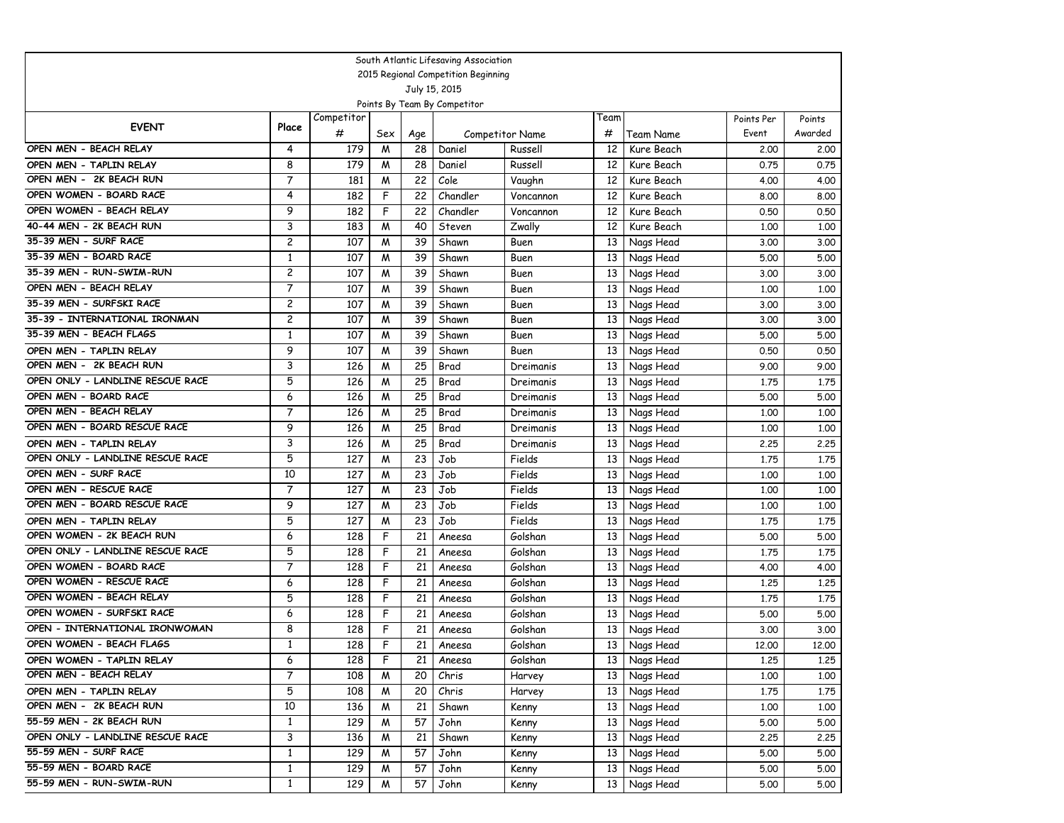|                                                    |                                                      |            |        |                 | South Atlantic Lifesaving Association |                        |          |                          |              |              |  |
|----------------------------------------------------|------------------------------------------------------|------------|--------|-----------------|---------------------------------------|------------------------|----------|--------------------------|--------------|--------------|--|
|                                                    | 2015 Regional Competition Beginning<br>July 15, 2015 |            |        |                 |                                       |                        |          |                          |              |              |  |
|                                                    |                                                      |            |        |                 |                                       |                        |          |                          |              |              |  |
|                                                    |                                                      |            |        |                 | Points By Team By Competitor          |                        |          |                          |              |              |  |
| <b>EVENT</b>                                       | Place                                                | Competitor |        |                 |                                       |                        | Team     |                          | Points Per   | Points       |  |
| OPEN MEN - BEACH RELAY                             |                                                      | #          | Sex    | Age             |                                       | <b>Competitor Name</b> | #        | Team Name                | Event        | Awarded      |  |
|                                                    | 4<br>8                                               | 179<br>179 | M      | 28<br>28        | Daniel                                | Russell                | 12       | Kure Beach               | 2,00         | 2.00         |  |
| OPEN MEN - TAPLIN RELAY<br>OPEN MEN - 2K BEACH RUN | $\overline{7}$                                       | 181        | M<br>M | 22              | Daniel<br>Cole                        | Russell                | 12<br>12 | Kure Beach<br>Kure Beach | 0.75         | 0.75         |  |
| OPEN WOMEN - BOARD RACE                            | 4                                                    | 182        | F      | 22              | Chandler                              | Vaughn                 | 12       | Kure Beach               | 4.00         | 4.00         |  |
| OPEN WOMEN - BEACH RELAY                           | 9                                                    | 182        | F      | 22              | Chandler                              | Voncannon<br>Voncannon | 12       | Kure Beach               | 8.00         | 8.00         |  |
| 40-44 MEN - 2K BEACH RUN                           | 3                                                    | 183        | M      | 40              | Steven                                | Zwally                 | 12       | Kure Beach               | 0.50<br>1.00 | 0.50<br>1,00 |  |
| 35-39 MEN - SURF RACE                              | 2                                                    | 107        | M      | 39              | Shawn                                 | Buen                   | 13       |                          | 3.00         | 3.00         |  |
| 35-39 MEN - BOARD RACE                             | 1                                                    | 107        | M      | 39              | Shawn                                 | Buen                   | 13       | Nags Head                | 5.00         | 5.00         |  |
| 35-39 MEN - RUN-SWIM-RUN                           | 2                                                    | 107        | M      | 39              | Shawn                                 | Buen                   | 13       | Nags Head<br>Nags Head   | 3.00         | 3.00         |  |
| OPEN MEN - BEACH RELAY                             | 7                                                    | 107        | M      | 39              | Shawn                                 | Buen                   | 13       | Nags Head                | 1,00         | 1,00         |  |
| 35-39 MEN - SURFSKI RACE                           | 2                                                    | 107        | M      | 39              | Shawn                                 | Buen                   | 13       | Nags Head                | 3.00         | 3.00         |  |
| 35-39 - INTERNATIONAL IRONMAN                      | 2                                                    | 107        | M      | 39              | Shawn                                 | Buen                   | 13       | Nags Head                | 3.00         | 3.00         |  |
| 35-39 MEN - BEACH FLAGS                            | $\mathbf{1}$                                         | 107        | M      | 39              | Shawn                                 | Buen                   | 13       | Nags Head                | 5.00         | 5.00         |  |
| OPEN MEN - TAPLIN RELAY                            | 9                                                    | 107        | M      | 39              | Shawn                                 | Buen                   | 13       | Nags Head                | 0.50         | 0.50         |  |
| OPEN MEN - 2K BEACH RUN                            | 3                                                    | 126        | M      | 25              | Brad                                  | Dreimanis              | 13       | Nags Head                | 9.00         | 9.00         |  |
| OPEN ONLY - LANDLINE RESCUE RACE                   | 5                                                    | 126        | M      | 25              | Brad                                  | Dreimanis              | 13       | Nags Head                | 1.75         | 1.75         |  |
| OPEN MEN - BOARD RACE                              | 6                                                    | 126        | M      | 25              | Brad                                  | Dreimanis              | 13       | Nags Head                | 5.00         | 5.00         |  |
| OPEN MEN - BEACH RELAY                             | 7                                                    | 126        | M      | 25              | Brad                                  | Dreimanis              | 13       | Nags Head                | 1.00         | 1,00         |  |
| OPEN MEN - BOARD RESCUE RACE                       | 9                                                    | 126        | M      | 25              | Brad                                  | Dreimanis              | 13       | Nags Head                | 1,00         | 1,00         |  |
| OPEN MEN - TAPLIN RELAY                            | 3                                                    | 126        | M      | 25              | Brad                                  | Dreimanis              | 13       | Nags Head                | 2.25         | 2.25         |  |
| OPEN ONLY - LANDLINE RESCUE RACE                   | 5                                                    | 127        | M      | 23              | Job                                   | Fields                 | 13       | Nags Head                | 1.75         | 1.75         |  |
| OPEN MEN - SURF RACE                               | 10                                                   | 127        | M      | $\overline{23}$ | Job                                   | Fields                 | 13       | Nags Head                | 1,00         | 1,00         |  |
| OPEN MEN - RESCUE RACE                             | 7                                                    | 127        | M      | 23              | Job                                   | Fields                 | 13       | Nags Head                | 1.00         | 1.00         |  |
| OPEN MEN - BOARD RESCUE RACE                       | 9                                                    | 127        | M      | 23              | Job                                   | Fields                 | 13       | Nags Head                | 1.00         | 1,00         |  |
| OPEN MEN - TAPLIN RELAY                            | 5                                                    | 127        | M      | 23              | Job                                   | Fields                 | 13       | Nags Head                | 1.75         | 1.75         |  |
| OPEN WOMEN - 2K BEACH RUN                          | 6                                                    | 128        | F      | 21              | Aneesa                                | Golshan                | 13       | Nags Head                | 5.00         | 5.00         |  |
| OPEN ONLY - LANDLINE RESCUE RACE                   | 5                                                    | 128        | F      | 21              | Aneesa                                | Golshan                | 13       | Nags Head                | 1.75         | 1.75         |  |
| OPEN WOMEN - BOARD RACE                            | 7                                                    | 128        | F      | 21              | Aneesa                                | Golshan                | 13       | Nags Head                | 4.00         | 4.00         |  |
| OPEN WOMEN - RESCUE RACE                           | 6                                                    | 128        | F      | 21              | Aneesa                                | Golshan                | 13       | Nags Head                | 1,25         | 1.25         |  |
| OPEN WOMEN - BEACH RELAY                           | 5                                                    | 128        | F      | 21              | Aneesa                                | Golshan                | 13       | Nags Head                | 1.75         | 1.75         |  |
| OPEN WOMEN - SURFSKI RACE                          | 6                                                    | 128        | F      | 21              | Aneesa                                | Golshan                | 13       | Nags Head                | 5.00         | 5.00         |  |
| OPEN - INTERNATIONAL IRONWOMAN                     | 8                                                    | 128        | F      | 21              | Aneesa                                | Golshan                | 13       | Nags Head                | 3.00         | 3.00         |  |
| OPEN WOMEN - BEACH FLAGS                           | $\mathbf{1}$                                         | 128        | F      | 21              | Aneesa                                | Golshan                | 13       | Nags Head                | 12,00        | 12.00        |  |
| OPEN WOMEN - TAPLIN RELAY                          | 6                                                    | 128        | F      | 21              | Aneesa                                | Golshan                | 13       | Nags Head                | 1.25         | 1.25         |  |
| OPEN MEN - BEACH RELAY                             | 7                                                    | 108        | W      | 20              | Chris                                 | Harvey                 | 13       | Nags Head                | 1.00         | 1.00         |  |
| OPEN MEN - TAPLIN RELAY                            | 5                                                    | 108        | M      | 20              | Chris                                 | Harvey                 | 13       | Nags Head                | 1.75         | 1.75         |  |
| OPEN MEN - 2K BEACH RUN                            | 10                                                   | 136        | M      | 21              | Shawn                                 | Kenny                  | 13       | Nags Head                | 1.00         | 1.00         |  |
| 55-59 MEN - 2K BEACH RUN                           | $\mathbf{1}$                                         | 129        | M      | 57              | John                                  | Kenny                  | 13       | Nags Head                | 5.00         | 5.00         |  |
| OPEN ONLY - LANDLINE RESCUE RACE                   | 3                                                    | 136        | M      | 21              | Shawn                                 | Kenny                  | 13       | Nags Head                | 2.25         | 2.25         |  |
| 55-59 MEN - SURF RACE                              | $\mathbf{1}$                                         | 129        | M      | 57              | John                                  | Kenny                  | 13       | Nags Head                | 5.00         | 5.00         |  |
| 55-59 MEN - BOARD RACE                             | $\mathbf{1}$                                         | 129        | M      | 57              | John                                  | Kenny                  | 13       | Nags Head                | 5.00         | 5.00         |  |
| 55-59 MEN - RUN-SWIM-RUN                           | $\mathbf{1}$                                         | 129        | M      | 57              | John                                  | Kenny                  | 13       | Nags Head                | 5.00         | 5.00         |  |
|                                                    |                                                      |            |        |                 |                                       |                        |          |                          |              |              |  |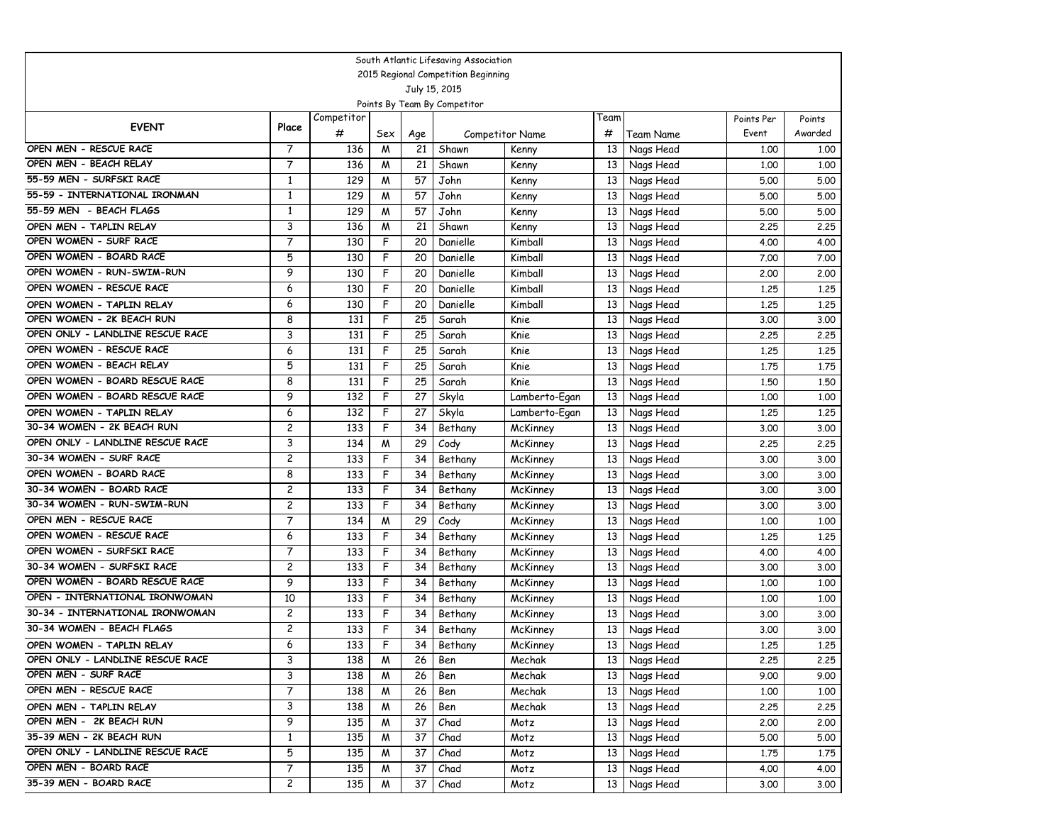|                                                              |                         |            |        |          | South Atlantic Lifesaving Association |                        |                 |                        |              |              |
|--------------------------------------------------------------|-------------------------|------------|--------|----------|---------------------------------------|------------------------|-----------------|------------------------|--------------|--------------|
|                                                              |                         |            |        |          | 2015 Regional Competition Beginning   |                        |                 |                        |              |              |
|                                                              |                         |            |        |          | July 15, 2015                         |                        |                 |                        |              |              |
|                                                              |                         |            |        |          | Points By Team By Competitor          |                        |                 |                        |              |              |
| <b>EVENT</b>                                                 | Place                   | Competitor |        |          |                                       |                        | Team            |                        | Points Per   | Points       |
|                                                              |                         | #          | Sex    | Age      |                                       | <b>Competitor Name</b> | #               | Team Name              | Event        | Awarded      |
| OPEN MEN - RESCUE RACE                                       | 7                       | 136        | M      | 21       | Shawn                                 | Kenny                  | 13              | Nags Head              | 1,00         | 1.00         |
| OPEN MEN - BEACH RELAY                                       | $\overline{7}$          | 136        | M      | 21       | Shawn                                 | Kenny                  | 13              | Nags Head              | 1,00         | 1.00         |
| 55-59 MEN - SURFSKI RACE                                     | $\mathbf{1}$            | 129        | M      | 57       | John                                  | Kenny                  | 13              | Nags Head              | 5.00         | 5.00         |
| 55-59 - INTERNATIONAL IRONMAN                                | $\mathbf{1}$            | 129        | M      | 57       | John                                  | Kenny                  | 13              | Nags Head              | 5.00         | 5.00         |
| 55-59 MEN - BEACH FLAGS                                      | 1                       | 129        | M      | 57       | John                                  | Kenny                  | 13              | Nags Head              | 5.00         | 5.00         |
| OPEN MEN - TAPLIN RELAY<br>OPEN WOMEN - SURF RACE            | 3                       | 136        | W      | 21       | Shawn                                 | Kenny                  | 13              | Nags Head              | 2.25         | 2.25         |
|                                                              | 7                       | 130        | F      | 20       | Danielle                              | Kimball                | 13              | Nags Head              | 4.00         | 4.00         |
| OPEN WOMEN - BOARD RACE                                      | 5                       | 130        | F      | 20       | Danielle                              | Kimball                | 13              | Nags Head              | 7.00         | 7.00         |
| OPEN WOMEN - RUN-SWIM-RUN                                    | 9                       | 130        | F      | 20       | Danielle                              | Kimball                | 13              | Nags Head              | 2.00         | 2.00         |
| OPEN WOMEN - RESCUE RACE                                     | 6                       | 130        | F      | 20       | Danielle                              | Kimball                | 13              | Nags Head              | 1,25         | 1.25         |
| OPEN WOMEN - TAPLIN RELAY<br>OPEN WOMEN - 2K BEACH RUN       | 6                       | 130        | F      | 20       | Danielle                              | Kimball                | 13              | Nags Head              | 1,25         | 1.25         |
|                                                              | 8                       | 131        | F      | 25       | Sarah                                 | Knie                   | 13              | Nags Head              | 3.00         | 3.00         |
| OPEN ONLY - LANDLINE RESCUE RACE<br>OPEN WOMEN - RESCUE RACE | 3                       | 131        | F      | 25       | Sarah                                 | Knie                   | 13              | Nags Head              | 2.25         | 2.25         |
| OPEN WOMEN - BEACH RELAY                                     | 6<br>5                  | 131        | F      | 25       | Sarah                                 | Knie                   | 13              | Nags Head              | 1,25         | 1.25         |
| OPEN WOMEN - BOARD RESCUE RACE                               |                         | 131        | F      | 25       | Sarah                                 | Knie                   | 13              | Nags Head              | 1.75         | 1.75         |
| OPEN WOMEN - BOARD RESCUE RACE                               | 8                       | 131        | F      | 25       | Sarah                                 | Knie                   | 13              | Nags Head              | 1,50         | 1,50         |
|                                                              | 9                       | 132        | F      | 27       | Skyla                                 | Lamberto-Egan          | 13              | Nags Head              | 1,00         | 1.00         |
| OPEN WOMEN - TAPLIN RELAY<br>30-34 WOMEN - 2K BEACH RUN      | 6                       | 132        | F      | 27       | Skyla                                 | Lamberto-Egan          | 13              | Nags Head              | 1,25         | 1.25         |
| OPEN ONLY - LANDLINE RESCUE RACE                             | 2                       | 133        | F      | 34       | Bethany                               | McKinney               | 13              | Nags Head              | 3.00         | 3.00         |
| 30-34 WOMEN - SURF RACE                                      | 3                       | 134        | M<br>F | 29<br>34 | Cody                                  | McKinney               | 13              | Nags Head              | 2.25         | 2.25         |
| OPEN WOMEN - BOARD RACE                                      | 2<br>8                  | 133<br>133 | F      | 34       | Bethany                               | McKinney               | 13              | Nags Head              | 3.00         | 3.00         |
| 30-34 WOMEN - BOARD RACE                                     | $\overline{\mathbf{c}}$ | 133        |        | 34       | Bethany                               | McKinney               | 13              | Nags Head              | 3.00         | 3.00         |
| 30-34 WOMEN - RUN-SWIM-RUN                                   | $\overline{\mathbf{c}}$ | 133        | F      |          | Bethany                               | McKinney               | 13              | Nags Head              | 3.00         | 3.00         |
| OPEN MEN - RESCUE RACE                                       | 7                       | 134        | F      | 34<br>29 | Bethany<br>Cody                       | McKinney               | 13<br>13        | Nags Head              | 3.00         | 3.00         |
| OPEN WOMEN - RESCUE RACE                                     | 6                       | 133        | M<br>F | 34       |                                       | McKinney               | 13              | Nags Head              | 1,00         | 1.00<br>1.25 |
| OPEN WOMEN - SURFSKI RACE                                    | $\overline{7}$          | 133        | F      | 34       | Bethany                               | McKinney               | 13              | Nags Head              | 1,25<br>4.00 | 4.00         |
| 30-34 WOMEN - SURFSKI RACE                                   | 2                       | 133        | F      | 34       | Bethany<br>Bethany                    | McKinney<br>McKinney   | 13              | Nags Head<br>Nags Head | 3.00         | 3.00         |
| OPEN WOMEN - BOARD RESCUE RACE                               | 9                       | 133        | F      | 34       | Bethany                               | McKinney               | 13              | Nags Head              | 1,00         | 1.00         |
| OPEN - INTERNATIONAL IRONWOMAN                               | 10                      | 133        | F      | 34       | Bethany                               | McKinney               | 13              | Nags Head              | 1,00         | 1.00         |
| 30-34 - INTERNATIONAL IRONWOMAN                              | 2                       | 133        | F      | 34       | Bethany                               | McKinney               | 13              | Nags Head              | 3.00         | 3.00         |
| 30-34 WOMEN - BEACH FLAGS                                    | 2                       | 133        | F      | 34       | Bethany                               | McKinney               | 13              | Nags Head              | 3.00         | 3.00         |
| OPEN WOMEN - TAPLIN RELAY                                    | 6                       | 133        | F      | 34       | Bethany                               | McKinney               | 13              | Nags Head              | 1,25         | 1.25         |
| OPEN ONLY - LANDLINE RESCUE RACE                             | 3                       | 138        | M      | 26       | Ben                                   | Mechak                 |                 | 13 Nags Head           | 2.25         | 2.25         |
| OPEN MEN - SURF RACE                                         | 3                       | 138        | M      | 26       | Ben                                   | Mechak                 |                 | 13 Nags Head           | 9.00         | 9.00         |
| OPEN MEN - RESCUE RACE                                       | 7                       | 138        | M      | 26       | Ben                                   | Mechak                 |                 | 13 Nags Head           | 1.00         | 1,00         |
| OPEN MEN - TAPLIN RELAY                                      | 3                       | 138        | M      | 26       | Ben                                   | Mechak                 | 13              | Nags Head              | 2.25         | 2.25         |
| OPEN MEN - 2K BEACH RUN                                      | 9                       | 135        | M      | 37       | Chad                                  | Motz                   | 13 I            | Nags Head              | 2.00         | 2.00         |
| 35-39 MEN - 2K BEACH RUN                                     | $\mathbf{1}$            | 135        | M      | 37       | Chad                                  | Motz                   |                 | 13 Nags Head           | 5.00         | 5.00         |
| OPEN ONLY - LANDLINE RESCUE RACE                             | 5                       | 135        | M      | 37       | Chad                                  | Motz                   | 13 <sup>1</sup> | Nags Head              | 1.75         | 1.75         |
| OPEN MEN - BOARD RACE                                        | 7                       | 135        | M      | 37       | Chad                                  | Motz                   | 13              | Nags Head              | 4.00         | 4.00         |
| 35-39 MEN - BOARD RACE                                       | $\overline{c}$          |            |        | 37       |                                       |                        |                 |                        |              |              |
|                                                              |                         | 135        | M      |          | Chad                                  | Motz                   |                 | 13 Nags Head           | 3.00         | 3.00         |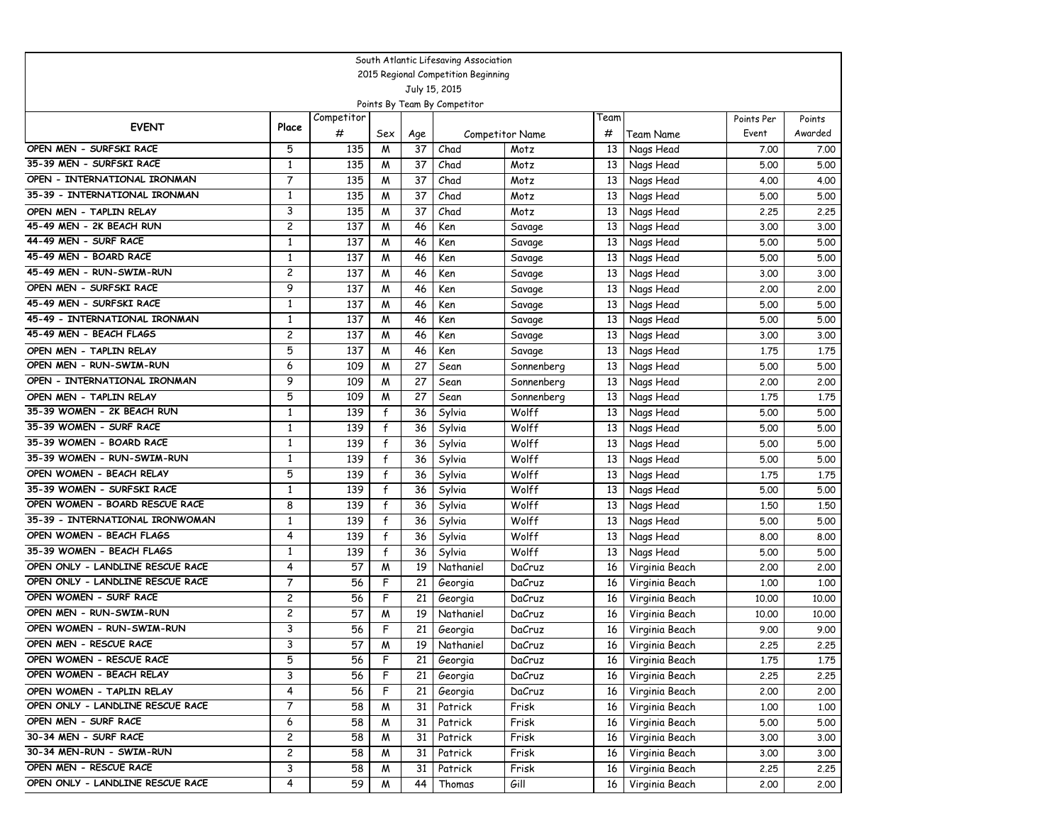|                                                                      |                         |            |              |      | South Atlantic Lifesaving Association |                        |      |                |            |         |
|----------------------------------------------------------------------|-------------------------|------------|--------------|------|---------------------------------------|------------------------|------|----------------|------------|---------|
|                                                                      |                         |            |              |      | 2015 Regional Competition Beginning   |                        |      |                |            |         |
|                                                                      |                         |            |              |      | July 15, 2015                         |                        |      |                |            |         |
|                                                                      |                         |            |              |      | Points By Team By Competitor          |                        |      |                |            |         |
| <b>EVENT</b>                                                         | Place                   | Competitor |              |      |                                       |                        | Team |                | Points Per | Points  |
|                                                                      |                         | #          | Sex          | Age  |                                       | <b>Competitor Name</b> | #    | Team Name      | Event      | Awarded |
| OPEN MEN - SURFSKI RACE                                              | 5                       | 135        | M            | 37   | Chad                                  | Motz                   | 13   | Nags Head      | 7.00       | 7.00    |
| 35-39 MEN - SURFSKI RACE                                             | $\mathbf{1}$            | 135        | M            | 37   | Chad                                  | Motz                   | 13   | Nags Head      | 5.00       | 5.00    |
| OPEN - INTERNATIONAL IRONMAN                                         | $\overline{7}$          | 135        | M            | 37   | Chad                                  | Motz                   | 13   | Nags Head      | 4.00       | 4.00    |
| 35-39 - INTERNATIONAL IRONMAN                                        | $\mathbf{1}$            | 135        | M            | 37   | Chad                                  | Motz                   | 13   | Nags Head      | 5.00       | 5.00    |
| OPEN MEN - TAPLIN RELAY                                              | 3                       | 135        | M            | 37   | Chad                                  | Motz                   | 13   | Nags Head      | 2.25       | 2.25    |
| 45-49 MEN - 2K BEACH RUN                                             | 2                       | 137        | M            | 46   | Ken                                   | Savage                 | 13   | Nags Head      | 3.00       | 3.00    |
| 44-49 MEN - SURF RACE                                                | 1                       | 137        | M            | 46   | Ken                                   | Savage                 | 13   | Nags Head      | 5.00       | 5.00    |
| 45-49 MEN - BOARD RACE                                               | $\mathbf{1}$            | 137        | M            | 46   | Ken                                   | Savage                 | 13   | Nags Head      | 5.00       | 5.00    |
| 45-49 MEN - RUN-SWIM-RUN                                             | 2                       | 137        | M            | 46   | Ken                                   | Savage                 | 13   | Nags Head      | 3.00       | 3.00    |
| OPEN MEN - SURFSKI RACE                                              | 9                       | 137        | W            | 46   | Ken                                   | Savage                 | 13   | Nags Head      | 2.00       | 2.00    |
| 45-49 MEN - SURFSKI RACE                                             | 1                       | 137        | M            | 46   | Ken                                   | Savage                 | 13   | Nags Head      | 5.00       | 5.00    |
| 45-49 - INTERNATIONAL IRONMAN                                        | $\mathbf{1}$            | 137        | M            | 46   | Ken                                   | Savage                 | 13   | Nags Head      | 5.00       | 5.00    |
| 45-49 MEN - BEACH FLAGS                                              | 2                       | 137        | M            | 46   | Ken                                   | Savage                 | 13   | Nags Head      | 3.00       | 3.00    |
| OPEN MEN - TAPLIN RELAY                                              | 5                       | 137        | M            | 46   | Ken                                   | Savage                 | 13   | Nags Head      | 1.75       | 1.75    |
| OPEN MEN - RUN-SWIM-RUN                                              | 6                       | 109        | M            | 27   | Sean                                  | Sonnenberg             | 13   | Nags Head      | 5.00       | 5.00    |
| OPEN - INTERNATIONAL IRONMAN                                         | 9                       | 109        | M            | 27   | Sean                                  | Sonnenberg             | 13   | Nags Head      | 2.00       | 2.00    |
| OPEN MEN - TAPLIN RELAY                                              | 5                       | 109        | M            | 27   | Sean                                  | Sonnenberg             | 13   | Nags Head      | 1.75       | 1.75    |
| 35-39 WOMEN - 2K BEACH RUN                                           | $\mathbf{1}$            | 139        | $\mathsf{f}$ | 36   | Sylvia                                | Wolff                  | 13   | Nags Head      | 5.00       | 5.00    |
| 35-39 WOMEN - SURF RACE                                              | 1                       | 139        | $\mathsf{f}$ | 36   | Sylvia                                | Wolff                  | 13   | Nags Head      | 5.00       | 5.00    |
| 35-39 WOMEN - BOARD RACE                                             | 1                       | 139        | $\mathsf{f}$ | 36   | Sylvia                                | Wolff                  | 13   | Nags Head      | 5.00       | 5.00    |
| 35-39 WOMEN - RUN-SWIM-RUN                                           | $\mathbf{1}$            | 139        | f            | 36   | Sylvia                                | Wolff                  | 13   | Nags Head      | 5.00       | 5.00    |
| OPEN WOMEN - BEACH RELAY                                             | 5                       | 139        | $\mathsf{f}$ | 36   | Sylvia                                | Wolff                  | 13   | Nags Head      | 1.75       | 1.75    |
| 35-39 WOMEN - SURFSKI RACE                                           | 1                       | 139        | f            | 36   | Sylvia                                | Wolff                  | 13   | Nags Head      | 5.00       | 5.00    |
| OPEN WOMEN - BOARD RESCUE RACE                                       | 8                       | 139        | f            | 36   | Sylvia                                | Wolff                  | 13   | Nags Head      | 1,50       | 1.50    |
| 35-39 - INTERNATIONAL IRONWOMAN                                      | 1                       | 139        | f            | 36   | Sylvia                                | Wolff                  | 13   | Nags Head      | 5.00       | 5.00    |
| OPEN WOMEN - BEACH FLAGS                                             | 4                       | 139        | $\mathbf{f}$ | 36   | Sylvia                                | Wolff                  | 13   | Nags Head      | 8.00       | 8.00    |
| 35-39 WOMEN - BEACH FLAGS                                            | $\mathbf{1}$            | 139        | $\mathsf{f}$ | 36   | Sylvia                                | Wolff                  | 13   | Nags Head      | 5.00       | 5.00    |
| OPEN ONLY - LANDLINE RESCUE RACE<br>OPEN ONLY - LANDLINE RESCUE RACE | 4                       | 57         | M            | 19   | Nathaniel                             | DaCruz                 | 16   | Virginia Beach | 2.00       | 2.00    |
| OPEN WOMEN - SURF RACE                                               | 7                       | 56         | F            | 21   | Georgia                               | DaCruz                 | 16   | Virginia Beach | 1,00       | 1.00    |
| OPEN MEN - RUN-SWIM-RUN                                              | 2                       | 56         | F            | 21   | Georgia                               | DaCruz                 | 16   | Virginia Beach | 10.00      | 10.00   |
| OPEN WOMEN - RUN-SWIM-RUN                                            | 2                       | 57         | M            | 19   | Nathaniel                             | DaCruz                 | 16   | Virginia Beach | 10,00      | 10.00   |
| OPEN MEN - RESCUE RACE                                               | 3<br>3                  | 56         | F            | 21   | Georgia<br>Nathaniel                  | DaCruz                 | 16   | Virginia Beach | 9.00       | 9.00    |
|                                                                      |                         | 57         | W            | 19   |                                       | DaCruz                 | 16   | Virginia Beach | 2.25       | 2.25    |
| OPEN WOMEN - RESCUE RACE<br>OPEN WOMEN - BEACH RELAY                 | 5<br>3                  | 56         | F<br>F       | 21 I | Georgia                               | DaCruz                 | 16 I | Virginia Beach | 1.75       | 1.75    |
|                                                                      |                         | 56         |              | 21   | Georgia                               | DaCruz                 | 16   | Virginia Beach | 2.25       | 2.25    |
| OPEN WOMEN - TAPLIN RELAY<br>OPEN ONLY - LANDLINE RESCUE RACE        | 4                       | 56         | F            | 21   | Georgia                               | DaCruz                 | 16   | Virginia Beach | 2.00       | 2.00    |
| OPEN MEN - SURF RACE                                                 | 7                       | 58         | M            | 31   | Patrick                               | Frisk                  | 16   | Virginia Beach | 1.00       | 1.00    |
|                                                                      | 6                       | 58         | M            | 31   | Patrick                               | Frisk                  | 16   | Virginia Beach | 5.00       | 5.00    |
| 30-34 MEN - SURF RACE                                                | $\overline{\mathbf{c}}$ | 58         | M            | 31   | Patrick                               | Frisk                  | 16   | Virginia Beach | 3.00       | 3.00    |
| 30-34 MEN-RUN - SWIM-RUN<br>OPEN MEN - RESCUE RACE                   | 2                       | 58         | M            | 31   | Patrick                               | Frisk                  | 16   | Virginia Beach | 3.00       | 3.00    |
|                                                                      | 3                       | 58         | M            | 31   | Patrick                               | Frisk                  | 16   | Virginia Beach | 2.25       | 2.25    |
| OPEN ONLY - LANDLINE RESCUE RACE                                     | 4                       | 59         | M            | 44   | Thomas                                | Gill                   | 16 I | Virginia Beach | 2.00       | 2.00    |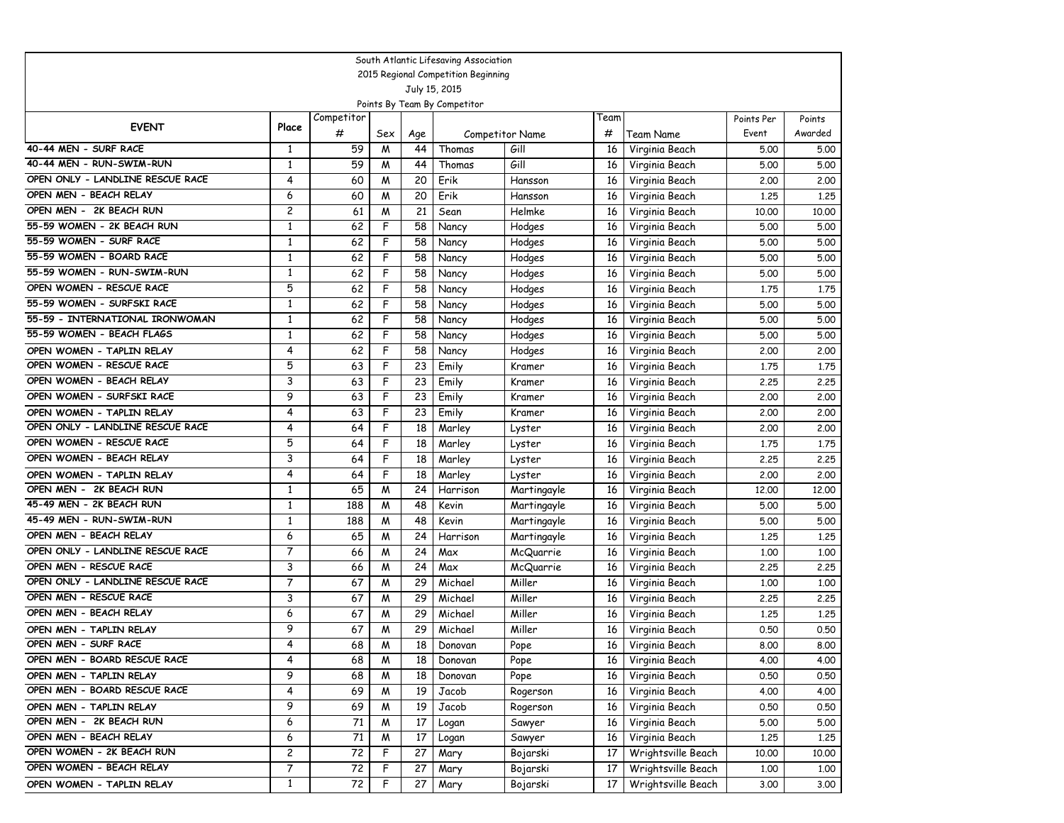| South Atlantic Lifesaving Association<br>2015 Regional Competition Beginning |                |                 |     |          |                              |                        |      |                    |            |         |  |
|------------------------------------------------------------------------------|----------------|-----------------|-----|----------|------------------------------|------------------------|------|--------------------|------------|---------|--|
|                                                                              |                |                 |     |          |                              |                        |      |                    |            |         |  |
|                                                                              |                |                 |     |          | July 15, 2015                |                        |      |                    |            |         |  |
|                                                                              |                |                 |     |          | Points By Team By Competitor |                        |      |                    |            |         |  |
| <b>EVENT</b>                                                                 | Place          | Competitor      |     |          |                              |                        | Team |                    | Points Per | Points  |  |
|                                                                              |                | #               | Sex | Age      |                              | <b>Competitor Name</b> | #    | Team Name          | Event      | Awarded |  |
| 40-44 MEN - SURF RACE                                                        | 1              | 59              | M   | 44       | Thomas                       | Gill                   | 16   | Virginia Beach     | 5.00       | 5.00    |  |
| 40-44 MEN - RUN-SWIM-RUN                                                     | $\mathbf{1}$   | 59              | M   | 44       | Thomas                       | Gill                   | 16   | Virginia Beach     | 5.00       | 5.00    |  |
| OPEN ONLY - LANDLINE RESCUE RACE                                             | 4              | 60              | M   | 20       | Erik                         | Hansson                | 16   | Virginia Beach     | 2.00       | 2.00    |  |
| OPEN MEN - BEACH RELAY                                                       | 6              | 60              | M   | 20       | Erik                         | Hansson                | 16   | Virginia Beach     | 1,25       | 1.25    |  |
| OPEN MEN - 2K BEACH RUN                                                      | 2              | 61              | M   | 21       | Sean                         | Helmke                 | 16   | Virginia Beach     | 10,00      | 10.00   |  |
| 55-59 WOMEN - 2K BEACH RUN                                                   | 1              | 62              | F   | 58       | Nancy                        | Hodges                 | 16   | Virginia Beach     | 5.00       | 5.00    |  |
| 55-59 WOMEN - SURF RACE                                                      | $\mathbf{1}$   | 62              | F   | 58       | Nancy                        | Hodges                 | 16   | Virginia Beach     | 5.00       | 5.00    |  |
| 55-59 WOMEN - BOARD RACE                                                     | $\mathbf{1}$   | 62              | F   | 58       | Nancy                        | Hodges                 | 16   | Virginia Beach     | 5.00       | 5.00    |  |
| 55-59 WOMEN - RUN-SWIM-RUN                                                   | $\mathbf{1}$   | 62              | F   | 58       | Nancy                        | Hodges                 | 16   | Virginia Beach     | 5.00       | 5.00    |  |
| OPEN WOMEN - RESCUE RACE                                                     | 5              | 62              | F   | 58       | Nancy                        | Hodges                 | 16   | Virginia Beach     | 1.75       | 1.75    |  |
| 55-59 WOMEN - SURFSKI RACE                                                   | 1              | 62              | F   | 58       | Nancy                        | Hodges                 | 16   | Virginia Beach     | 5.00       | 5.00    |  |
| 55-59 - INTERNATIONAL IRONWOMAN                                              | 1              | 62              | F   | 58       | Nancy                        | Hodges                 | 16   | Virginia Beach     | 5.00       | 5.00    |  |
| 55-59 WOMEN - BEACH FLAGS                                                    | $\mathbf{1}$   | 62              | F   | 58       | Nancy                        | Hodges                 | 16   | Virginia Beach     | 5.00       | 5.00    |  |
| OPEN WOMEN - TAPLIN RELAY                                                    | 4              | 62              | F   | 58       | Nancy                        | Hodges                 | 16   | Virginia Beach     | 2.00       | 2.00    |  |
| OPEN WOMEN - RESCUE RACE                                                     | 5              | 63              | F   | 23       | Emily                        | Kramer                 | 16   | Virginia Beach     | 1.75       | 1.75    |  |
| OPEN WOMEN - BEACH RELAY                                                     | 3              | 63              | F   | 23       | Emily                        | Kramer                 | 16   | Virginia Beach     | 2.25       | 2.25    |  |
| OPEN WOMEN - SURFSKI RACE                                                    | 9              | 63              | F   | 23       | Emily                        | Kramer                 | 16   | Virginia Beach     | 2.00       | 2.00    |  |
| OPEN WOMEN - TAPLIN RELAY                                                    | 4              | 63              | F   | 23       | Emily                        | Kramer                 | 16   | Virginia Beach     | 2.00       | 2.00    |  |
| OPEN ONLY - LANDLINE RESCUE RACE                                             | 4              | 64              | F   | 18       | Marley                       | Lyster                 | 16   | Virginia Beach     | 2.00       | 2.00    |  |
| OPEN WOMEN - RESCUE RACE                                                     | 5              | 64              | F   | 18       | Marley                       | Lyster                 | 16   | Virginia Beach     | 1.75       | 1.75    |  |
| OPEN WOMEN - BEACH RELAY                                                     | 3              | 64              | F   | 18       | Marley                       | Lyster                 | 16   | Virginia Beach     | 2.25       | 2.25    |  |
| OPEN WOMEN - TAPLIN RELAY                                                    | 4              | 64              | F   | 18       | Marley                       | Lyster                 | 16   | Virginia Beach     | 2.00       | 2.00    |  |
| OPEN MEN - 2K BEACH RUN                                                      | 1              | 65              | M   | 24       | Harrison                     | Martingayle            | 16   | Virginia Beach     | 12,00      | 12,00   |  |
| 45-49 MEN - 2K BEACH RUN                                                     | 1              | 188             | M   | 48       | Kevin                        | Martingayle            | 16   | Virginia Beach     | 5.00       | 5.00    |  |
| 45-49 MEN - RUN-SWIM-RUN                                                     | $\mathbf{1}$   | 188             | M   | 48       | Kevin                        | Martingayle            | 16   | Virginia Beach     | 5.00       | 5.00    |  |
| OPEN MEN - BEACH RELAY                                                       | 6              | 65              | M   | 24       | Harrison                     | Martingayle            | 16   | Virginia Beach     | 1,25       | 1.25    |  |
| OPEN ONLY - LANDLINE RESCUE RACE<br>OPEN MEN - RESCUE RACE                   | $\overline{7}$ | 66              | M   | 24       | Max                          | McQuarrie              | 16   | Virginia Beach     | 1,00       | 1.00    |  |
|                                                                              | 3              | 66              | M   | 24       | Max                          | McQuarrie              | 16   | Virginia Beach     | 2.25       | 2.25    |  |
| OPEN ONLY - LANDLINE RESCUE RACE<br>OPEN MEN - RESCUE RACE                   | 7              | 67              | M   | 29       | Michael                      | Miller                 | 16   | Virginia Beach     | 1,00       | 1.00    |  |
| OPEN MEN - BEACH RELAY                                                       | 3              | 67              | M   | 29       | Michael                      | Miller                 | 16   | Virginia Beach     | 2.25       | 2.25    |  |
|                                                                              | 6              | 67              | M   | 29<br>29 | Michael                      | Miller<br>Miller       | 16   | Virginia Beach     | 1,25       | 1,25    |  |
| OPEN MEN - TAPLIN RELAY<br>OPEN MEN - SURF RACE                              | 9<br>4         | 67              | M   |          | Michael                      |                        | 16   | Virginia Beach     | 0.50       | 0.50    |  |
|                                                                              |                | 68              | W   | 18       | Donovan                      | Pope                   | 16   | Virginia Beach     | 8.00       | 8.00    |  |
| OPEN MEN - BOARD RESCUE RACE                                                 | 4              | 68              | M   | 18       | Donovan                      | Pope                   | 16 I | Virginia Beach     | 4.00       | 4.00    |  |
| OPEN MEN - TAPLIN RELAY<br>OPEN MEN - BOARD RESCUE RACE                      | 9              | 68              | M   | 18       | Donovan                      | Pope                   | 16   | Virginia Beach     | 0.50       | 0.50    |  |
|                                                                              | 4              | 69              | M   | 19       | Jacob                        | Rogerson               | 16   | Virginia Beach     | 4.00       | 4.00    |  |
| OPEN MEN - TAPLIN RELAY                                                      | 9              | 69              | M   | 19       | Jacob                        | Rogerson               | 16   | Virginia Beach     | 0.50       | 0.50    |  |
| OPEN MEN - 2K BEACH RUN                                                      | 6              | $\bf 71$        | M   | 17       | Logan                        | Sawyer                 | 16   | Virginia Beach     | 5.00       | 5.00    |  |
| OPEN MEN - BEACH RELAY                                                       | 6              | $\overline{71}$ | M   | 17       | Logan                        | Sawyer                 | 16   | Virginia Beach     | 1.25       | 1.25    |  |
| OPEN WOMEN - 2K BEACH RUN                                                    | 2              | 72              | F   | 27       | Mary                         | Bojarski               | 17   | Wrightsville Beach | 10.00      | 10.00   |  |
| OPEN WOMEN - BEACH RELAY                                                     | 7              | 72              | F   | 27       | Mary                         | Bojarski               | 17   | Wrightsville Beach | 1.00       | 1.00    |  |
| OPEN WOMEN - TAPLIN RELAY                                                    | $\mathbf{1}$   | 72              | F   | 27       | Mary                         | Bojarski               | 17   | Wrightsville Beach | 3.00       | 3.00    |  |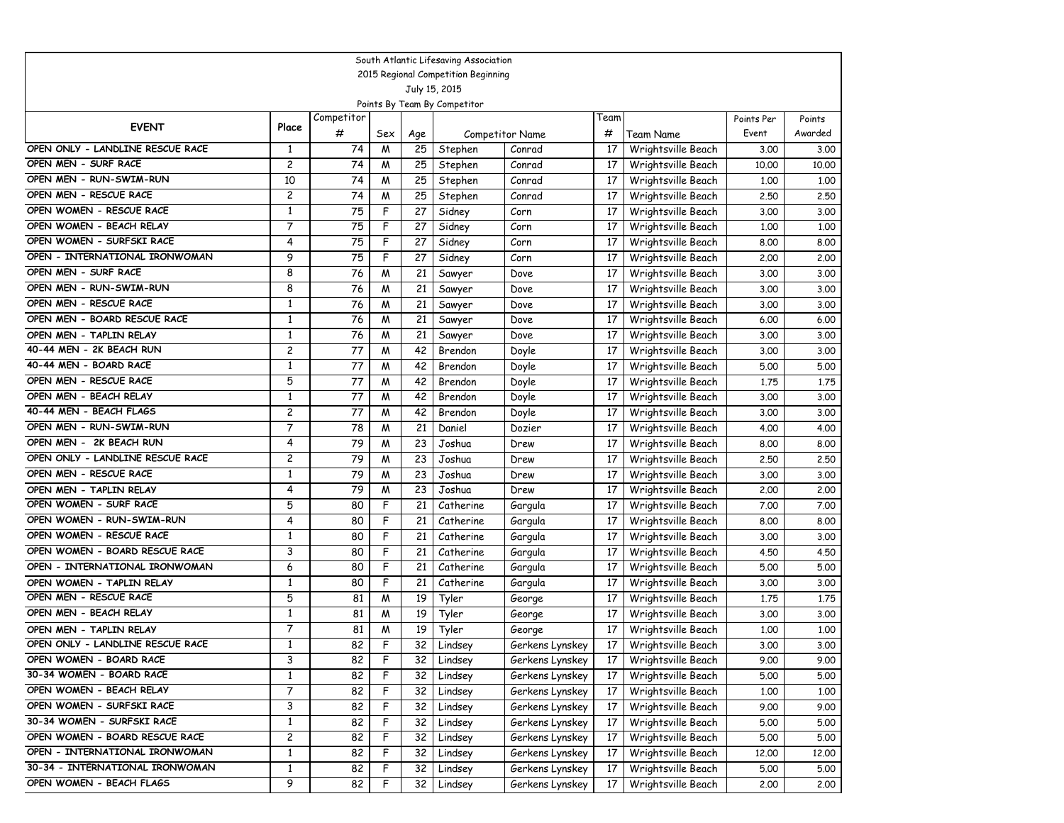|                                     |                |            |     |                 | South Atlantic Lifesaving Association |                 |      |                    |            |         |
|-------------------------------------|----------------|------------|-----|-----------------|---------------------------------------|-----------------|------|--------------------|------------|---------|
| 2015 Regional Competition Beginning |                |            |     |                 |                                       |                 |      |                    |            |         |
|                                     |                |            |     |                 | July 15, 2015                         |                 |      |                    |            |         |
|                                     |                |            |     |                 | Points By Team By Competitor          |                 |      |                    |            |         |
| <b>EVENT</b>                        | Place          | Competitor |     |                 |                                       |                 | Геаm |                    | Points Per | Points  |
|                                     |                | #          | Sex | Age             |                                       | Competitor Name | #    | Team Name          | Event      | Awarded |
| OPEN ONLY - LANDLINE RESCUE RACE    | $\mathbf{1}$   | 74         | M   | 25              | Stephen                               | Conrad          | 17   | Wrightsville Beach | 3.00       | 3.00    |
| OPEN MEN - SURF RACE                | 2              | 74         | M   | 25              | Stephen                               | Conrad          | 17   | Wrightsville Beach | 10,00      | 10.00   |
| OPEN MEN - RUN-SWIM-RUN             | 10             | 74         | M   | 25              | Stephen                               | Conrad          | 17   | Wrightsville Beach | 1.00       | 1.00    |
| OPEN MEN - RESCUE RACE              | 2              | 74         | M   | 25              | Stephen                               | Conrad          | 17   | Wrightsville Beach | 2,50       | 2.50    |
| OPEN WOMEN - RESCUE RACE            | 1              | 75         | F   | 27              | Sidney                                | Corn            | 17   | Wrightsville Beach | 3.00       | 3.00    |
| OPEN WOMEN - BEACH RELAY            | 7              | 75         | F   | 27              | Sidney                                | Corn            | 17   | Wrightsville Beach | 1.00       | 1.00    |
| OPEN WOMEN - SURFSKI RACE           | 4              | 75         | F   | 27              | Sidney                                | Corn            | 17   | Wrightsville Beach | 8.00       | 8.00    |
| OPEN - INTERNATIONAL IRONWOMAN      | 9              | 75         | F   | 27              | Sidney                                | Corn            | 17   | Wrightsville Beach | 2.00       | 2.00    |
| OPEN MEN - SURF RACE                | 8              | 76         | M   | 21              | Sawyer                                | Dove            | 17   | Wrightsville Beach | 3.00       | 3.00    |
| OPEN MEN - RUN-SWIM-RUN             | 8              | 76         | M   | 21              | Sawyer                                | Dove            | 17   | Wrightsville Beach | 3.00       | 3.00    |
| OPEN MEN - RESCUE RACE              | $\mathbf{1}$   | 76         | M   | 21              | Sawyer                                | Dove            | 17   | Wrightsville Beach | 3.00       | 3.00    |
| OPEN MEN - BOARD RESCUE RACE        | $\mathbf{1}$   | 76         | M   | 21              | Sawyer                                | Dove            | 17   | Wrightsville Beach | 6.00       | 6.00    |
| OPEN MEN - TAPLIN RELAY             | 1              | 76         | M   | 21              | Sawyer                                | Dove            | 17   | Wrightsville Beach | 3.00       | 3.00    |
| 40-44 MEN - 2K BEACH RUN            | $\overline{c}$ | 77         | M   | 42              | Brendon                               | Doyle           | 17   | Wrightsville Beach | 3.00       | 3.00    |
| 40-44 MEN - BOARD RACE              | $\mathbf{1}$   | 77         | M   | 42              | Brendon                               | Doyle           | 17   | Wrightsville Beach | 5.00       | 5.00    |
| OPEN MEN - RESCUE RACE              | 5              | 77         | M   | 42              | Brendon                               | Doyle           | 17   | Wrightsville Beach | 1.75       | 1.75    |
| OPEN MEN - BEACH RELAY              | $\mathbf{1}$   | 77         | M   | 42              | Brendon                               | Doyle           | 17   | Wrightsville Beach | 3.00       | 3.00    |
| 40-44 MEN - BEACH FLAGS             | 2              | 77         | M   | 42              | Brendon                               | Doyle           | 17   | Wrightsville Beach | 3.00       | 3.00    |
| OPEN MEN - RUN-SWIM-RUN             | 7              | 78         | M   | 21              | Daniel                                | Dozier          | 17   | Wrightsville Beach | 4.00       | 4.00    |
| OPEN MEN - 2K BEACH RUN             | 4              | 79         | M   | 23              | Joshua                                | Drew            | 17   | Wrightsville Beach | 8.00       | 8.00    |
| OPEN ONLY - LANDLINE RESCUE RACE    | 2              | 79         | M   | $\overline{23}$ | Joshua                                | Drew            | 17   | Wrightsville Beach | 2.50       | 2.50    |
| OPEN MEN - RESCUE RACE              | $\mathbf{1}$   | 79         | W   | 23              | Joshua                                | Drew            | 17   | Wrightsville Beach | 3.00       | 3.00    |
| OPEN MEN - TAPLIN RELAY             | 4              | 79         | W   | 23              | Joshua                                | Drew            | 17   | Wrightsville Beach | 2.00       | 2.00    |
| OPEN WOMEN - SURF RACE              | 5              | 80         | F   | 21              | Catherine                             | Gargula         | 17   | Wrightsville Beach | 7.00       | 7.00    |
| OPEN WOMEN - RUN-SWIM-RUN           | 4              | 80         | F   | 21              | Catherine                             | Gargula         | 17   | Wrightsville Beach | 8.00       | 8.00    |
| OPEN WOMEN - RESCUE RACE            | $\mathbf{1}$   | 80         | F   | 21              | Catherine                             | Gargula         | 17   | Wrightsville Beach | 3.00       | 3.00    |
| OPEN WOMEN - BOARD RESCUE RACE      | 3              | 80         | F   | 21              | Catherine                             | Gargula         | 17   | Wrightsville Beach | 4.50       | 4.50    |
| OPEN - INTERNATIONAL IRONWOMAN      | 6              | 80         | F   | 21              | Catherine                             | Gargula         | 17   | Wrightsville Beach | 5.00       | 5.00    |
| OPEN WOMEN - TAPLIN RELAY           | $\mathbf{1}$   | 80         | F   | 21              | Catherine                             | Gargula         | 17   | Wrightsville Beach | 3.00       | 3.00    |
| OPEN MEN - RESCUE RACE              | 5              | 81         | M   | 19              | Tyler                                 | George          | 17   | Wrightsville Beach | 1.75       | 1.75    |
| OPEN MEN - BEACH RELAY              | 1              | 81         | M   | 19              | Tyler                                 | George          | 17   | Wrightsville Beach | 3.00       | 3.00    |
| OPEN MEN - TAPLIN RELAY             | 7              | 81         | M   | 19              | Tyler                                 | George          | 17   | Wrightsville Beach | 1.00       | 1.00    |
| OPEN ONLY - LANDLINE RESCUE RACE    | $\mathbf{1}$   | 82         | F   | 32              | Lindsey                               | Gerkens Lynskey | 17   | Wrightsville Beach | 3.00       | 3.00    |
| OPEN WOMEN - BOARD RACE             | 3              | 82         | F   | 32              | Lindsey                               | Gerkens Lynskey | 17   | Wrightsville Beach | 9.00       | 9.00    |
| 30-34 WOMEN - BOARD RACE            | $\mathbf{1}$   | 82         | F   | 32              | Lindsey                               | Gerkens Lynskey | 17   | Wrightsville Beach | 5.00       | 5.00    |
| OPEN WOMEN - BEACH RELAY            | 7              | 82         | F   | 32              | Lindsey                               | Gerkens Lynskey | 17   | Wrightsville Beach | 1.00       | 1.00    |
| OPEN WOMEN - SURFSKI RACE           | 3              | 82         | F   | 32              | Lindsey                               | Gerkens Lynskey | 17   | Wrightsville Beach | 9.00       | 9.00    |
| 30-34 WOMEN - SURFSKI RACE          | 1              | 82         | F   | 32              | Lindsey                               | Gerkens Lynskey | 17   | Wrightsville Beach | 5.00       | 5.00    |
| OPEN WOMEN - BOARD RESCUE RACE      | $\overline{c}$ | 82         | F   | 32              | Lindsey                               | Gerkens Lynskey | 17   | Wrightsville Beach | 5.00       | 5.00    |
| OPEN - INTERNATIONAL IRONWOMAN      | $\mathbf{1}$   | 82         | F   | 32              | Lindsey                               | Gerkens Lynskey | 17   | Wrightsville Beach | 12.00      | 12.00   |
| 30-34 - INTERNATIONAL IRONWOMAN     | $\mathbf{1}$   | 82         | F   | 32              | Lindsey                               | Gerkens Lynskey | 17   | Wrightsville Beach | 5.00       | 5.00    |
| OPEN WOMEN - BEACH FLAGS            | 9              | 82         | F   | 32              | Lindsey                               | Gerkens Lynskey | 17   | Wrightsville Beach | 2.00       | 2.00    |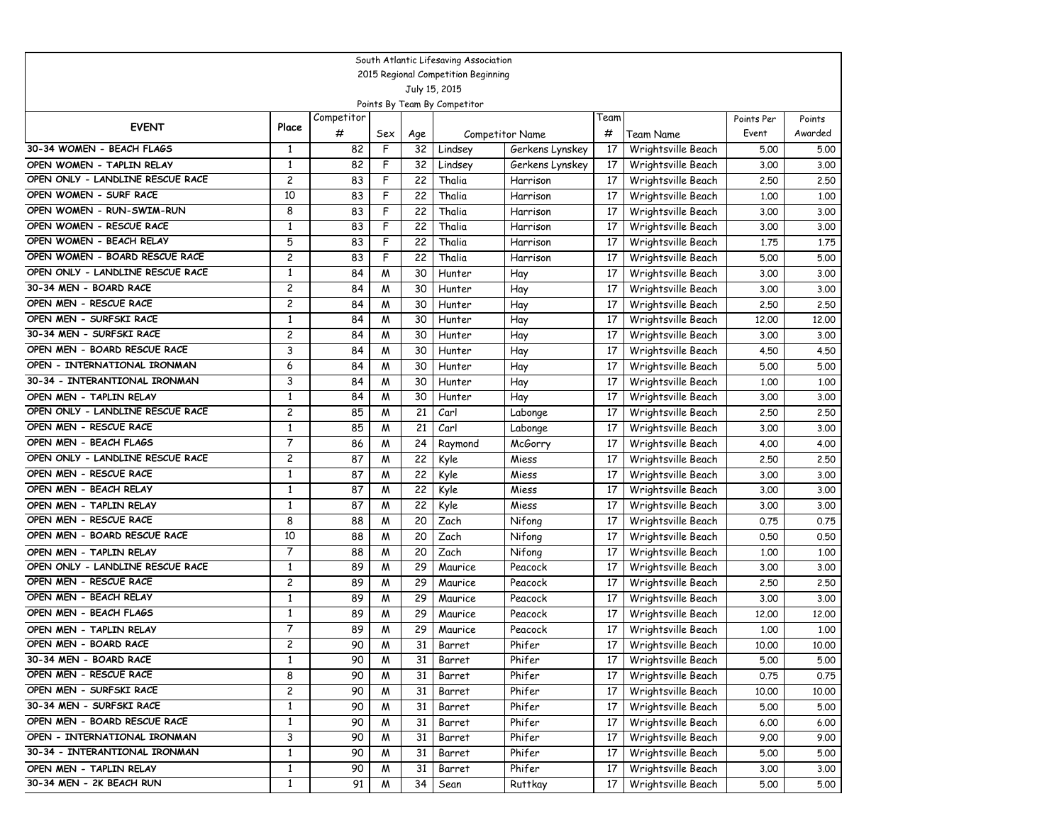| South Atlantic Lifesaving Association                       |                                         |            |        |          |                    |                        |          |                                          |              |              |  |
|-------------------------------------------------------------|-----------------------------------------|------------|--------|----------|--------------------|------------------------|----------|------------------------------------------|--------------|--------------|--|
| 2015 Regional Competition Beginning                         |                                         |            |        |          |                    |                        |          |                                          |              |              |  |
| July 15, 2015                                               |                                         |            |        |          |                    |                        |          |                                          |              |              |  |
| Points By Team By Competitor                                |                                         |            |        |          |                    |                        |          |                                          |              |              |  |
| <b>EVENT</b>                                                | Place                                   | Competitor |        |          |                    |                        | Team     |                                          | Points Per   | Points       |  |
|                                                             |                                         | #          | Sex    | Age      |                    | <b>Competitor Name</b> | #        | Team Name                                | Event        | Awarded      |  |
| 30-34 WOMEN - BEACH FLAGS                                   | 1                                       | 82         | F      | 32       | Lindsey            | Gerkens Lynskey        | 17       | Wrightsville Beach                       | 5.00         | 5.00         |  |
| OPEN WOMEN - TAPLIN RELAY                                   | $\mathbf{1}$                            | 82         | F      | 32       | Lindsey            | Gerkens Lynskey        | 17       | Wrightsville Beach                       | 3.00         | 3.00         |  |
| OPEN ONLY - LANDLINE RESCUE RACE                            | $\overline{c}$                          | 83         | F      | 22       | Thalia             | Harrison               | 17       | Wrightsville Beach                       | 2.50         | 2.50         |  |
| OPEN WOMEN - SURF RACE                                      | 10                                      | 83         | F      | 22       | Thalia             | Harrison               | 17       | Wrightsville Beach                       | 1,00         | 1.00         |  |
| OPEN WOMEN - RUN-SWIM-RUN                                   | 8                                       | 83         | F      | 22       | Thalia             | Harrison               | 17       | Wrightsville Beach                       | 3.00         | 3.00         |  |
| OPEN WOMEN - RESCUE RACE                                    | 1                                       | 83         | F      | 22       | Thalia             | Harrison               | 17       | Wrightsville Beach                       | 3.00         | 3.00         |  |
| OPEN WOMEN - BEACH RELAY<br>OPEN WOMEN - BOARD RESCUE RACE  | 5                                       | 83         | F      | 22       | Thalia             | Harrison               | 17       | Wrightsville Beach                       | 1.75         | 1.75         |  |
|                                                             | $\overline{\mathbf{c}}$                 | 83         | F      | 22       | Thalia             | Harrison               | 17       | Wrightsville Beach                       | 5.00         | 5.00         |  |
| OPEN ONLY - LANDLINE RESCUE RACE                            | $\mathbf{1}$                            | 84         | M      | 30       | Hunter             | Hay                    | 17       | Wrightsville Beach                       | 3.00         | 3.00         |  |
| 30-34 MEN - BOARD RACE                                      | $\overline{\mathbf{c}}$                 | 84         | M      | 30       | Hunter             | Hay                    | 17       | Wrightsville Beach                       | 3.00         | 3.00         |  |
| OPEN MEN - RESCUE RACE                                      | $\overline{\mathbf{c}}$                 | 84         | M      | 30       | Hunter             | Hay                    | 17       | Wrightsville Beach                       | 2.50         | 2.50         |  |
| OPEN MEN - SURFSKI RACE                                     | $\mathbf{1}$                            | 84         | M      | 30       | Hunter             | Hay                    | 17       | Wrightsville Beach                       | 12,00        | 12,00        |  |
| 30-34 MEN - SURFSKI RACE<br>OPEN MEN - BOARD RESCUE RACE    | 2                                       | 84         | M      | 30       | Hunter             | Hay                    | 17       | Wrightsville Beach                       | 3.00         | 3.00         |  |
|                                                             | 3                                       | 84         | M      | 30       | Hunter             | Hay                    | 17       | Wrightsville Beach                       | 4.50         | 4.50         |  |
| OPEN - INTERNATIONAL IRONMAN                                | 6                                       | 84         | M      | 30       | Hunter             | Hay                    | 17       | Wrightsville Beach                       | 5.00         | 5.00         |  |
| 30-34 - INTERANTIONAL IRONMAN                               | 3                                       | 84         | M      | 30       | Hunter             | Hay                    | 17       | Wrightsville Beach                       | 1,00         | 1.00         |  |
| OPEN MEN - TAPLIN RELAY                                     | $\mathbf{1}$                            | 84         | M      | 30       | Hunter             | Hay                    | 17       | Wrightsville Beach                       | 3.00         | 3.00         |  |
| OPEN ONLY - LANDLINE RESCUE RACE<br>OPEN MEN - RESCUE RACE  | $\overline{\mathbf{c}}$                 | 85         | M      | 21       | Carl               | Labonge                | 17       | Wrightsville Beach                       | 2.50         | 2.50         |  |
| OPEN MEN - BEACH FLAGS                                      | 1                                       | 85         | M      | 21       | Carl               | Labonge                | 17       | Wrightsville Beach                       | 3.00         | 3.00         |  |
| OPEN ONLY - LANDLINE RESCUE RACE                            | 7                                       | 86         | M      | 24       | Raymond            | McGorry                | 17       | Wrightsville Beach                       | 4.00         | 4.00         |  |
| OPEN MEN - RESCUE RACE                                      | $\overline{\mathbf{c}}$<br>$\mathbf{1}$ | 87         | M      | 22       | Kyle               | Miess                  | 17       | Wrightsville Beach                       | 2.50         | 2.50         |  |
| OPEN MEN - BEACH RELAY                                      |                                         | 87         | M      | 22       | Kyle               | Miess                  | 17       | Wrightsville Beach                       | 3.00         | 3.00         |  |
|                                                             | $\mathbf{1}$                            | 87         | M      | 22       | Kyle               | Miess                  | 17       | Wrightsville Beach                       | 3.00         | 3.00         |  |
| OPEN MEN - TAPLIN RELAY<br>OPEN MEN - RESCUE RACE           | $\mathbf{1}$<br>8                       | 87         | M      | 22       | Kyle<br>Zach       | Miess                  | 17       | Wrightsville Beach                       | 3.00         | 3.00         |  |
| OPEN MEN - BOARD RESCUE RACE                                | 10                                      | 88         | M      | 20<br>20 |                    | Nifong                 | 17       | Wrightsville Beach                       | 0.75         | 0.75         |  |
|                                                             | $\overline{7}$                          | 88         | M      |          | Zach               | Nifong<br>Nifong       | 17       | Wrightsville Beach                       | 0.50         | 0.50         |  |
| OPEN MEN - TAPLIN RELAY<br>OPEN ONLY - LANDLINE RESCUE RACE | $\mathbf{1}$                            | 88<br>89   | M<br>M | 20<br>29 | Zach<br>Maurice    | Peacock                | 17<br>17 | Wrightsville Beach                       | 1,00<br>3.00 | 1.00<br>3.00 |  |
| OPEN MEN - RESCUE RACE                                      | 2                                       | 89         | M      | 29       |                    | Peacock                | 17       | Wrightsville Beach<br>Wrightsville Beach | 2.50         | 2.50         |  |
| OPEN MEN - BEACH RELAY                                      | $\mathbf{1}$                            | 89         | M      | 29       | Maurice<br>Maurice | Peacock                | 17       | Wrightsville Beach                       | 3.00         | 3.00         |  |
| OPEN MEN - BEACH FLAGS                                      | 1                                       | 89         | M      | 29       | Maurice            | Peacock                | 17       | Wrightsville Beach                       | 12,00        | 12,00        |  |
| OPEN MEN - TAPLIN RELAY                                     | 7                                       | 89         | M      | 29       | Maurice            | Peacock                | 17       | Wrightsville Beach                       | 1.00         | 1.00         |  |
| OPEN MEN - BOARD RACE                                       | 2                                       | 90         | M      | 31       | Barret             | Phifer                 | 17       | Wrightsville Beach                       | 10.00        | 10.00        |  |
| 30-34 MEN - BOARD RACE                                      | 1                                       | 90         | M      | 31       | Barret             | Phifer                 | 17 I     | Wrightsville Beach                       | 5.00         | 5.00         |  |
| OPEN MEN - RESCUE RACE                                      | 8                                       | 90         | M      | 31       | Barret             | Phifer                 | 17       | Wrightsville Beach                       | 0.75         | 0.75         |  |
| OPEN MEN - SURFSKI RACE                                     | $\overline{\mathbf{c}}$                 | 90         | M      | 31       | Barret             | Phifer                 | 17       | Wrightsville Beach                       | 10.00        | 10.00        |  |
| 30-34 MEN - SURFSKI RACE                                    | $\mathbf{1}$                            | 90         | M      | 31       | Barret             | Phifer                 | 17       | Wrightsville Beach                       | 5.00         | 5.00         |  |
| OPEN MEN - BOARD RESCUE RACE                                | $\mathbf{1}$                            | 90         | M      | 31       | Barret             | Phifer                 | 17       | Wrightsville Beach                       | 6.00         | 6.00         |  |
| OPEN - INTERNATIONAL IRONMAN                                | 3                                       | 90         | M      | 31       | Barret             | Phifer                 | 17       | Wrightsville Beach                       | 9.00         | 9.00         |  |
| 30-34 - INTERANTIONAL IRONMAN                               | $\mathbf{1}$                            | 90         | M      | 31       | Barret             | Phifer                 | 17       | Wrightsville Beach                       | 5.00         | 5.00         |  |
| OPEN MEN - TAPLIN RELAY                                     | 1                                       | 90         | M      | 31       | Barret             | Phifer                 | 17       | Wrightsville Beach                       | 3.00         | 3.00         |  |
| 30-34 MEN - 2K BEACH RUN                                    | 1                                       | 91         | M      | 34       | Sean               | Ruttkay                | 17       | Wrightsville Beach                       | 5.00         |              |  |
|                                                             |                                         |            |        |          |                    |                        |          |                                          |              | 5.00         |  |